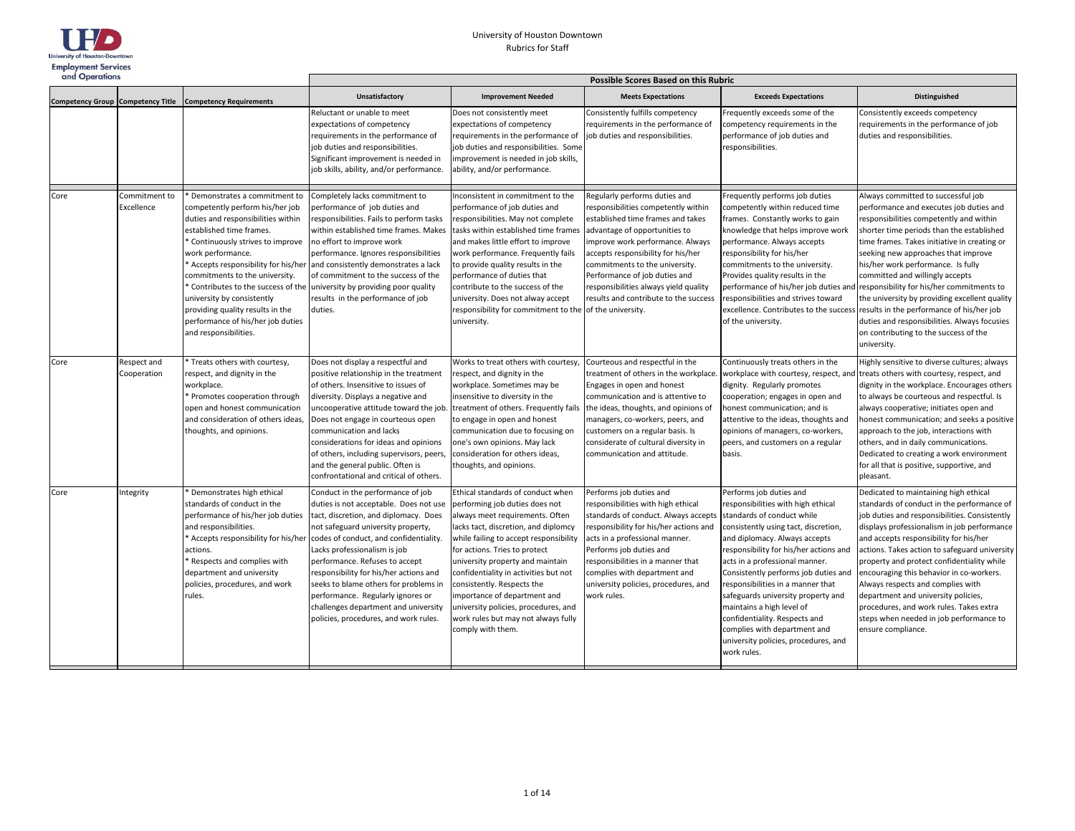

| and Operations |                             | Possible Scores Based on this Rubric                                                                                                                                                                                                                                                                                                                                                             |                                                                                                                                                                                                                                                                                                                                                                                                                                                                                 |                                                                                                                                                                                                                                                                                                                                                                                                                                                                          |                                                                                                                                                                                                                                                                                                                                                                          |                                                                                                                                                                                                                                                                                                                                                                                                                                                                                                                          |                                                                                                                                                                                                                                                                                                                                                                                                                                                                                                                                                                                          |
|----------------|-----------------------------|--------------------------------------------------------------------------------------------------------------------------------------------------------------------------------------------------------------------------------------------------------------------------------------------------------------------------------------------------------------------------------------------------|---------------------------------------------------------------------------------------------------------------------------------------------------------------------------------------------------------------------------------------------------------------------------------------------------------------------------------------------------------------------------------------------------------------------------------------------------------------------------------|--------------------------------------------------------------------------------------------------------------------------------------------------------------------------------------------------------------------------------------------------------------------------------------------------------------------------------------------------------------------------------------------------------------------------------------------------------------------------|--------------------------------------------------------------------------------------------------------------------------------------------------------------------------------------------------------------------------------------------------------------------------------------------------------------------------------------------------------------------------|--------------------------------------------------------------------------------------------------------------------------------------------------------------------------------------------------------------------------------------------------------------------------------------------------------------------------------------------------------------------------------------------------------------------------------------------------------------------------------------------------------------------------|------------------------------------------------------------------------------------------------------------------------------------------------------------------------------------------------------------------------------------------------------------------------------------------------------------------------------------------------------------------------------------------------------------------------------------------------------------------------------------------------------------------------------------------------------------------------------------------|
|                |                             | Competency Group Competency Title Competency Requirements                                                                                                                                                                                                                                                                                                                                        | Unsatisfactory                                                                                                                                                                                                                                                                                                                                                                                                                                                                  | <b>Improvement Needed</b>                                                                                                                                                                                                                                                                                                                                                                                                                                                | <b>Meets Expectations</b>                                                                                                                                                                                                                                                                                                                                                | <b>Exceeds Expectations</b>                                                                                                                                                                                                                                                                                                                                                                                                                                                                                              | <b>Distinguished</b>                                                                                                                                                                                                                                                                                                                                                                                                                                                                                                                                                                     |
|                |                             |                                                                                                                                                                                                                                                                                                                                                                                                  | Reluctant or unable to meet<br>expectations of competency<br>requirements in the performance of<br>job duties and responsibilities.<br>Significant improvement is needed in<br>job skills, ability, and/or performance.                                                                                                                                                                                                                                                         | Does not consistently meet<br>expectations of competency<br>requirements in the performance of<br>job duties and responsibilities. Some<br>improvement is needed in job skills,<br>ability, and/or performance.                                                                                                                                                                                                                                                          | Consistently fulfills competency<br>requirements in the performance of<br>job duties and responsibilities.                                                                                                                                                                                                                                                               | Frequently exceeds some of the<br>competency requirements in the<br>performance of job duties and<br>responsibilities.                                                                                                                                                                                                                                                                                                                                                                                                   | Consistently exceeds competency<br>requirements in the performance of job<br>duties and responsibilities.                                                                                                                                                                                                                                                                                                                                                                                                                                                                                |
| Core           | Commitment to<br>Excellence | Demonstrates a commitment to<br>competently perform his/her job<br>duties and responsibilities within<br>established time frames.<br>Continuously strives to improve<br>work performance.<br>commitments to the university.<br>Contributes to the success of the<br>university by consistently<br>providing quality results in the<br>performance of his/her job duties<br>and responsibilities. | Completely lacks commitment to<br>performance of job duties and<br>responsibilities. Fails to perform tasks<br>within established time frames. Makes<br>no effort to improve work<br>performance. Ignores responsibilities<br>Accepts responsibility for his/her and consistently demonstrates a lack<br>of commitment to the success of the<br>university by providing poor quality<br>results in the performance of job<br>duties.                                            | Inconsistent in commitment to the<br>performance of job duties and<br>responsibilities. May not complete<br>tasks within established time frames<br>and makes little effort to improve<br>work performance. Frequently fails<br>to provide quality results in the<br>performance of duties that<br>contribute to the success of the<br>university. Does not alway accept<br>responsibility for commitment to the of the university.<br>university.                       | Regularly performs duties and<br>esponsibilities competently within<br>established time frames and takes<br>advantage of opportunities to<br>improve work performance. Always<br>accepts responsibility for his/her<br>commitments to the university.<br>Performance of job duties and<br>responsibilities always yield quality<br>results and contribute to the success | Frequently performs job duties<br>competently within reduced time<br>frames. Constantly works to gain<br>knowledge that helps improve work<br>performance. Always accepts<br>responsibility for his/her<br>commitments to the university.<br>Provides quality results in the<br>performance of his/her job duties and<br>responsibilities and strives toward<br>excellence. Contributes to the success<br>of the university.                                                                                             | Always committed to successful job<br>performance and executes job duties and<br>responsibilities competently and within<br>shorter time periods than the established<br>time frames. Takes initiative in creating or<br>seeking new approaches that improve<br>his/her work performance. Is fully<br>committed and willingly accepts<br>responsibility for his/her commitments to<br>the university by providing excellent quality<br>results in the performance of his/her job<br>duties and responsibilities. Always focusies<br>on contributing to the success of the<br>university. |
| Core           | Respect and<br>Cooperation  | Treats others with courtesy,<br>respect, and dignity in the<br>workplace.<br>Promotes cooperation through<br>open and honest communication<br>and consideration of others ideas,<br>thoughts, and opinions.                                                                                                                                                                                      | Does not display a respectful and<br>positive relationship in the treatment<br>of others. Insensitive to issues of<br>diversity. Displays a negative and<br>uncooperative attitude toward the job.<br>Does not engage in courteous open<br>communication and lacks<br>considerations for ideas and opinions<br>of others, including supervisors, peers,<br>and the general public. Often is<br>confrontational and critical of others.                                          | Works to treat others with courtesy,<br>respect, and dignity in the<br>workplace. Sometimes may be<br>insensitive to diversity in the<br>treatment of others. Frequently fails<br>to engage in open and honest<br>communication due to focusing on<br>one's own opinions. May lack<br>consideration for others ideas,<br>thoughts, and opinions.                                                                                                                         | Courteous and respectful in the<br>treatment of others in the workplace.<br>Engages in open and honest<br>communication and is attentive to<br>the ideas, thoughts, and opinions of<br>managers, co-workers, peers, and<br>customers on a regular basis. Is<br>considerate of cultural diversity in<br>communication and attitude.                                       | Continuously treats others in the<br>workplace with courtesy, respect, and<br>dignity. Regularly promotes<br>cooperation; engages in open and<br>honest communication; and is<br>attentive to the ideas, thoughts and<br>opinions of managers, co-workers,<br>peers, and customers on a regular<br>basis.                                                                                                                                                                                                                | Highly sensitive to diverse cultures; always<br>treats others with courtesy, respect, and<br>dignity in the workplace. Encourages others<br>to always be courteous and respectful. Is<br>always cooperative; initiates open and<br>honest communication; and seeks a positive<br>approach to the job, interactions with<br>others, and in daily communications.<br>Dedicated to creating a work environment<br>for all that is positive, supportive, and<br>pleasant.                                                                                                                    |
| Core           | Integrity                   | Demonstrates high ethical<br>standards of conduct in the<br>performance of his/her job duties<br>and responsibilities.<br>Accepts responsibility for his/her<br>actions.<br>Respects and complies with<br>department and university<br>policies, procedures, and work<br>rules.                                                                                                                  | Conduct in the performance of job<br>duties is not acceptable. Does not use<br>tact, discretion, and diplomacy. Does<br>not safeguard university property,<br>codes of conduct, and confidentiality.<br>Lacks professionalism is job<br>performance. Refuses to accept<br>responsibility for his/her actions and<br>seeks to blame others for problems in<br>performance. Regularly ignores or<br>challenges department and university<br>policies, procedures, and work rules. | Ethical standards of conduct when<br>performing job duties does not<br>always meet requirements. Often<br>lacks tact, discretion, and diplomcy<br>while failing to accept responsibility<br>for actions. Tries to protect<br>university property and maintain<br>confidentiality in activities but not<br>consistently. Respects the<br>importance of department and<br>university policies, procedures, and<br>work rules but may not always fully<br>comply with them. | Performs job duties and<br>responsibilities with high ethical<br>standards of conduct. Always accepts<br>responsibility for his/her actions and<br>acts in a professional manner.<br>Performs job duties and<br>responsibilities in a manner that<br>complies with department and<br>university policies, procedures, and<br>work rules.                                 | Performs job duties and<br>responsibilities with high ethical<br>standards of conduct while<br>consistently using tact, discretion,<br>and diplomacy. Always accepts<br>responsibility for his/her actions and<br>acts in a professional manner.<br>Consistently performs job duties and<br>responsibilities in a manner that<br>safeguards university property and<br>maintains a high level of<br>confidentiality. Respects and<br>complies with department and<br>university policies, procedures, and<br>work rules. | Dedicated to maintaining high ethical<br>standards of conduct in the performance of<br>job duties and responsibilities. Consistently<br>displays professionalism in job performance<br>and accepts responsibility for his/her<br>actions. Takes action to safeguard university<br>property and protect confidentiality while<br>encouraging this behavior in co-workers.<br>Always respects and complies with<br>department and university policies,<br>procedures, and work rules. Takes extra<br>steps when needed in job performance to<br>ensure compliance.                         |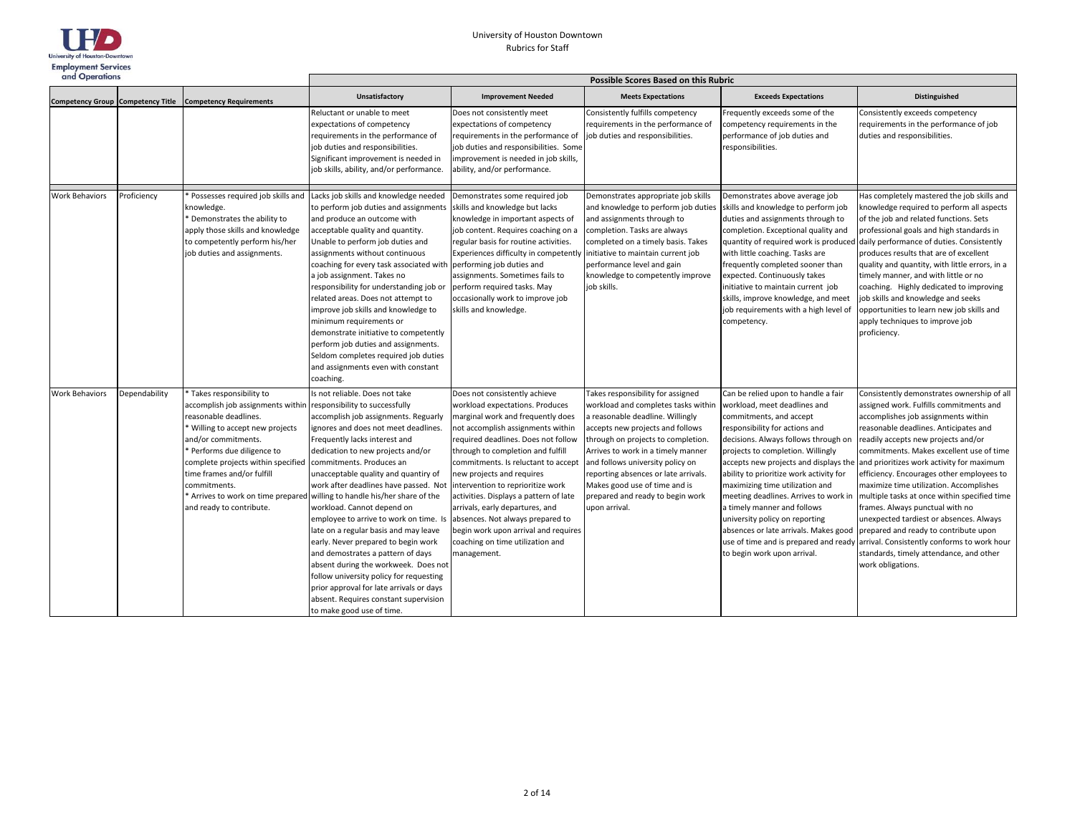

| and Operations        |               |                                                                                                                                                                                                                                                                                                                                   | Possible Scores Based on this Rubric                                                                                                                                                                                                                                                                                                                                                                                                                                                                                                                                                                                                                                                                                                                                            |                                                                                                                                                                                                                                                                                                                                                                                                                                                                                                                                             |                                                                                                                                                                                                                                                                                                                                                                                               |                                                                                                                                                                                                                                                                                                                                                                                                                                                                                                                                                                 |                                                                                                                                                                                                                                                                                                                                                                                                                                                                                                                                                                                                                                                                                     |  |
|-----------------------|---------------|-----------------------------------------------------------------------------------------------------------------------------------------------------------------------------------------------------------------------------------------------------------------------------------------------------------------------------------|---------------------------------------------------------------------------------------------------------------------------------------------------------------------------------------------------------------------------------------------------------------------------------------------------------------------------------------------------------------------------------------------------------------------------------------------------------------------------------------------------------------------------------------------------------------------------------------------------------------------------------------------------------------------------------------------------------------------------------------------------------------------------------|---------------------------------------------------------------------------------------------------------------------------------------------------------------------------------------------------------------------------------------------------------------------------------------------------------------------------------------------------------------------------------------------------------------------------------------------------------------------------------------------------------------------------------------------|-----------------------------------------------------------------------------------------------------------------------------------------------------------------------------------------------------------------------------------------------------------------------------------------------------------------------------------------------------------------------------------------------|-----------------------------------------------------------------------------------------------------------------------------------------------------------------------------------------------------------------------------------------------------------------------------------------------------------------------------------------------------------------------------------------------------------------------------------------------------------------------------------------------------------------------------------------------------------------|-------------------------------------------------------------------------------------------------------------------------------------------------------------------------------------------------------------------------------------------------------------------------------------------------------------------------------------------------------------------------------------------------------------------------------------------------------------------------------------------------------------------------------------------------------------------------------------------------------------------------------------------------------------------------------------|--|
|                       |               | Competency Group Competency Title Competency Requirements                                                                                                                                                                                                                                                                         | Unsatisfactory                                                                                                                                                                                                                                                                                                                                                                                                                                                                                                                                                                                                                                                                                                                                                                  | <b>Improvement Needed</b>                                                                                                                                                                                                                                                                                                                                                                                                                                                                                                                   | <b>Meets Expectations</b>                                                                                                                                                                                                                                                                                                                                                                     | <b>Exceeds Expectations</b>                                                                                                                                                                                                                                                                                                                                                                                                                                                                                                                                     | Distinguished                                                                                                                                                                                                                                                                                                                                                                                                                                                                                                                                                                                                                                                                       |  |
|                       |               |                                                                                                                                                                                                                                                                                                                                   | Reluctant or unable to meet<br>expectations of competency<br>requirements in the performance of<br>job duties and responsibilities.<br>Significant improvement is needed in<br>job skills, ability, and/or performance.                                                                                                                                                                                                                                                                                                                                                                                                                                                                                                                                                         | Does not consistently meet<br>expectations of competency<br>requirements in the performance of<br>job duties and responsibilities. Some<br>improvement is needed in job skills,<br>ability, and/or performance.                                                                                                                                                                                                                                                                                                                             | Consistently fulfills competency<br>equirements in the performance of<br>ob duties and responsibilities.                                                                                                                                                                                                                                                                                      | Frequently exceeds some of the<br>competency requirements in the<br>performance of job duties and<br>responsibilities.                                                                                                                                                                                                                                                                                                                                                                                                                                          | Consistently exceeds competency<br>requirements in the performance of job<br>duties and responsibilities.                                                                                                                                                                                                                                                                                                                                                                                                                                                                                                                                                                           |  |
| <b>Work Behaviors</b> | Proficiency   | Possesses required job skills and<br>knowledge.<br>Demonstrates the ability to<br>apply those skills and knowledge<br>to competently perform his/her<br>job duties and assignments.                                                                                                                                               | Lacks job skills and knowledge needed<br>to perform job duties and assignments<br>and produce an outcome with<br>acceptable quality and quantity.<br>Unable to perform job duties and<br>assignments without continuous<br>coaching for every task associated with performing job duties and<br>a job assignment. Takes no<br>responsibility for understanding job or<br>related areas. Does not attempt to<br>improve job skills and knowledge to<br>minimum requirements or<br>demonstrate initiative to competently<br>perform job duties and assignments.<br>Seldom completes required job duties<br>and assignments even with constant<br>coaching.                                                                                                                        | Demonstrates some required job<br>skills and knowledge but lacks<br>knowledge in important aspects of<br>job content. Requires coaching on a<br>regular basis for routine activities.<br>Experiences difficulty in competently<br>assignments. Sometimes fails to<br>perform required tasks. May<br>occasionally work to improve job<br>skills and knowledge.                                                                                                                                                                               | Demonstrates appropriate job skills<br>and knowledge to perform job duties<br>and assignments through to<br>completion. Tasks are always<br>completed on a timely basis. Takes<br>initiative to maintain current job<br>performance level and gain<br>knowledge to competently improve<br>job skills.                                                                                         | Demonstrates above average job<br>skills and knowledge to perform job<br>duties and assignments through to<br>completion. Exceptional quality and<br>quantity of required work is produced<br>with little coaching. Tasks are<br>frequently completed sooner than<br>expected. Continuously takes<br>initiative to maintain current job<br>skills, improve knowledge, and meet<br>job requirements with a high level of<br>competency.                                                                                                                          | Has completely mastered the job skills and<br>knowledge required to perform all aspects<br>of the job and related functions. Sets<br>professional goals and high standards in<br>daily performance of duties. Consistently<br>produces results that are of excellent<br>quality and quantity, with little errors, in a<br>timely manner, and with little or no<br>coaching. Highly dedicated to improving<br>job skills and knowledge and seeks<br>opportunities to learn new job skills and<br>apply techniques to improve job<br>proficiency.                                                                                                                                     |  |
| <b>Work Behaviors</b> | Dependability | * Takes responsibility to<br>accomplish job assignments within<br>reasonable deadlines.<br>Willing to accept new projects<br>and/or commitments.<br>Performs due diligence to<br>complete projects within specified<br>time frames and/or fulfill<br>commitments.<br>Arrives to work on time prepared<br>and ready to contribute. | Is not reliable. Does not take<br>responsibility to successfully<br>accomplish job assignments. Reguarly<br>ignores and does not meet deadlines.<br>Frequently lacks interest and<br>dedication to new projects and/or<br>commitments. Produces an<br>unacceptable quality and quantiry of<br>work after deadlines have passed. Not<br>willing to handle his/her share of the<br>workload. Cannot depend on<br>employee to arrive to work on time. Is<br>late on a regular basis and may leave<br>early. Never prepared to begin work<br>and demostrates a pattern of days<br>absent during the workweek. Does not<br>follow university policy for requesting<br>prior approval for late arrivals or days<br>absent. Requires constant supervision<br>to make good use of time. | Does not consistently achieve<br>workload expectations. Produces<br>marginal work and frequently does<br>not accomplish assignments within<br>required deadlines. Does not follow<br>through to completion and fulfill<br>commitments. Is reluctant to accept<br>new projects and requires<br>intervention to reprioritize work<br>activities. Displays a pattern of late<br>arrivals, early departures, and<br>absences. Not always prepared to<br>begin work upon arrival and requires<br>coaching on time utilization and<br>management. | Takes responsibility for assigned<br>workload and completes tasks within<br>a reasonable deadline. Willingly<br>accepts new projects and follows<br>through on projects to completion.<br>Arrives to work in a timely manner<br>and follows university policy on<br>eporting absences or late arrivals.<br>Makes good use of time and is<br>prepared and ready to begin work<br>upon arrival. | Can be relied upon to handle a fair<br>workload, meet deadlines and<br>commitments, and accept<br>responsibility for actions and<br>decisions. Always follows through on<br>projects to completion. Willingly<br>accepts new projects and displays the<br>ability to prioritize work activity for<br>maximizing time utilization and<br>meeting deadlines. Arrives to work in<br>a timely manner and follows<br>university policy on reporting<br>absences or late arrivals. Makes good<br>use of time and is prepared and ready<br>to begin work upon arrival. | Consistently demonstrates ownership of all<br>assigned work. Fulfills commitments and<br>accomplishes job assignments within<br>reasonable deadlines. Anticipates and<br>readily accepts new projects and/or<br>commitments. Makes excellent use of time<br>and prioritizes work activity for maximum<br>efficiency. Encourages other employees to<br>maximize time utilization. Accomplishes<br>multiple tasks at once within specified time<br>frames. Always punctual with no<br>unexpected tardiest or absences. Always<br>prepared and ready to contribute upon<br>arrival. Consistently conforms to work hour<br>standards, timely attendance, and other<br>work obligations. |  |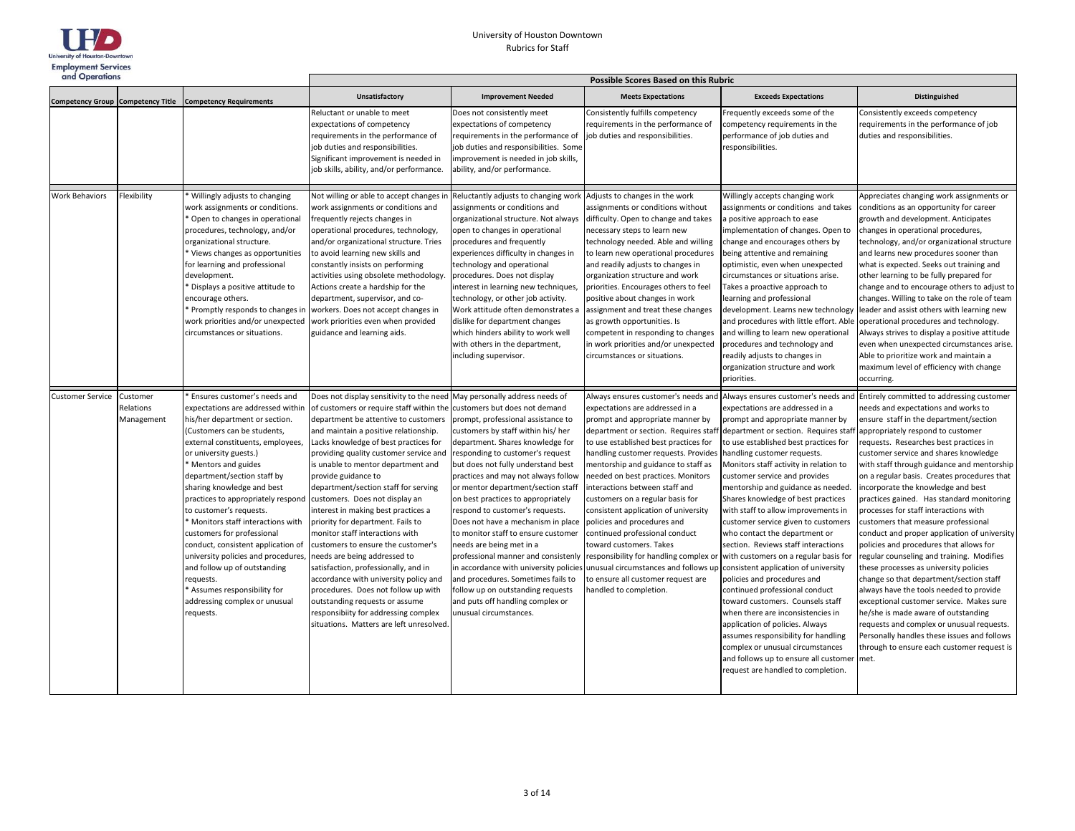

| and Operations          |                                     |                                                                                                                                                                                                                                                                                                                                                                                                                                                                                                                                                                                                                                   | Possible Scores Based on this Rubric                                                                                                                                                                                                                                                                                                                                                                                                                                                                                                                                                                                                                                                                                                                                                                                                                               |                                                                                                                                                                                                                                                                                                                                                                                                                                                                                                                                                                                                                                                                                                                  |                                                                                                                                                                                                                                                                                                                                                                                                                                                                                                                                                                                                                                       |                                                                                                                                                                                                                                                                                                                                                                                                                                                                                                                                                                                                                                                                                                                                                                                                                                                                                                                          |                                                                                                                                                                                                                                                                                                                                                                                                                                                                                                                                                                                                                                                                                                                                                                                                                                                                                                                                                                                                                                                                                                         |  |
|-------------------------|-------------------------------------|-----------------------------------------------------------------------------------------------------------------------------------------------------------------------------------------------------------------------------------------------------------------------------------------------------------------------------------------------------------------------------------------------------------------------------------------------------------------------------------------------------------------------------------------------------------------------------------------------------------------------------------|--------------------------------------------------------------------------------------------------------------------------------------------------------------------------------------------------------------------------------------------------------------------------------------------------------------------------------------------------------------------------------------------------------------------------------------------------------------------------------------------------------------------------------------------------------------------------------------------------------------------------------------------------------------------------------------------------------------------------------------------------------------------------------------------------------------------------------------------------------------------|------------------------------------------------------------------------------------------------------------------------------------------------------------------------------------------------------------------------------------------------------------------------------------------------------------------------------------------------------------------------------------------------------------------------------------------------------------------------------------------------------------------------------------------------------------------------------------------------------------------------------------------------------------------------------------------------------------------|---------------------------------------------------------------------------------------------------------------------------------------------------------------------------------------------------------------------------------------------------------------------------------------------------------------------------------------------------------------------------------------------------------------------------------------------------------------------------------------------------------------------------------------------------------------------------------------------------------------------------------------|--------------------------------------------------------------------------------------------------------------------------------------------------------------------------------------------------------------------------------------------------------------------------------------------------------------------------------------------------------------------------------------------------------------------------------------------------------------------------------------------------------------------------------------------------------------------------------------------------------------------------------------------------------------------------------------------------------------------------------------------------------------------------------------------------------------------------------------------------------------------------------------------------------------------------|---------------------------------------------------------------------------------------------------------------------------------------------------------------------------------------------------------------------------------------------------------------------------------------------------------------------------------------------------------------------------------------------------------------------------------------------------------------------------------------------------------------------------------------------------------------------------------------------------------------------------------------------------------------------------------------------------------------------------------------------------------------------------------------------------------------------------------------------------------------------------------------------------------------------------------------------------------------------------------------------------------------------------------------------------------------------------------------------------------|--|
|                         |                                     | Competency Group Competency Title Competency Requirements                                                                                                                                                                                                                                                                                                                                                                                                                                                                                                                                                                         | Unsatisfactory                                                                                                                                                                                                                                                                                                                                                                                                                                                                                                                                                                                                                                                                                                                                                                                                                                                     | <b>Improvement Needed</b>                                                                                                                                                                                                                                                                                                                                                                                                                                                                                                                                                                                                                                                                                        | <b>Meets Expectations</b>                                                                                                                                                                                                                                                                                                                                                                                                                                                                                                                                                                                                             | <b>Exceeds Expectations</b>                                                                                                                                                                                                                                                                                                                                                                                                                                                                                                                                                                                                                                                                                                                                                                                                                                                                                              | Distinguished                                                                                                                                                                                                                                                                                                                                                                                                                                                                                                                                                                                                                                                                                                                                                                                                                                                                                                                                                                                                                                                                                           |  |
|                         |                                     |                                                                                                                                                                                                                                                                                                                                                                                                                                                                                                                                                                                                                                   | Reluctant or unable to meet<br>expectations of competency<br>requirements in the performance of<br>job duties and responsibilities.<br>Significant improvement is needed in<br>job skills, ability, and/or performance.                                                                                                                                                                                                                                                                                                                                                                                                                                                                                                                                                                                                                                            | Does not consistently meet<br>expectations of competency<br>requirements in the performance of<br>job duties and responsibilities. Some<br>improvement is needed in job skills,<br>ability, and/or performance.                                                                                                                                                                                                                                                                                                                                                                                                                                                                                                  | Consistently fulfills competency<br>requirements in the performance of<br>job duties and responsibilities.                                                                                                                                                                                                                                                                                                                                                                                                                                                                                                                            | Frequently exceeds some of the<br>competency requirements in the<br>performance of job duties and<br>responsibilities.                                                                                                                                                                                                                                                                                                                                                                                                                                                                                                                                                                                                                                                                                                                                                                                                   | Consistently exceeds competency<br>requirements in the performance of job<br>duties and responsibilities.                                                                                                                                                                                                                                                                                                                                                                                                                                                                                                                                                                                                                                                                                                                                                                                                                                                                                                                                                                                               |  |
| <b>Work Behaviors</b>   | Flexibility                         | Willingly adjusts to changing<br>work assignments or conditions.<br>* Open to changes in operational<br>procedures, technology, and/or<br>organizational structure.<br>Views changes as opportunities<br>for learning and professional<br>development.<br>Displays a positive attitude to<br>encourage others.<br>Promptly responds to changes in<br>work priorities and/or unexpected<br>circumstances or situations.                                                                                                                                                                                                            | Not willing or able to accept changes in<br>work assignments or conditions and<br>frequently rejects changes in<br>operational procedures, technology,<br>and/or organizational structure. Tries<br>to avoid learning new skills and<br>constantly insists on performing<br>activities using obsolete methodology.<br>Actions create a hardship for the<br>department, supervisor, and co-<br>workers. Does not accept changes in<br>work priorities even when provided<br>guidance and learning aids.                                                                                                                                                                                                                                                                                                                                                             | Reluctantly adjusts to changing work<br>assignments or conditions and<br>organizational structure. Not always<br>open to changes in operational<br>procedures and frequently<br>experiences difficulty in changes in<br>technology and operational<br>procedures. Does not display<br>interest in learning new techniques,<br>technology, or other job activity.<br>Work attitude often demonstrates a<br>dislike for department changes<br>which hinders ability to work well<br>with others in the department,<br>including supervisor.                                                                                                                                                                        | Adjusts to changes in the work<br>assignments or conditions without<br>difficulty. Open to change and takes<br>necessary steps to learn new<br>technology needed. Able and willing<br>to learn new operational procedures<br>and readily adjusts to changes in<br>organization structure and work<br>priorities. Encourages others to feel<br>positive about changes in work<br>assignment and treat these changes<br>as growth opportunities. Is<br>competent in responding to changes<br>in work priorities and/or unexpected<br>circumstances or situations.                                                                       | Willingly accepts changing work<br>assignments or conditions and takes<br>a positive approach to ease<br>implementation of changes. Open to<br>change and encourages others by<br>being attentive and remaining<br>optimistic, even when unexpected<br>circumstances or situations arise.<br>Takes a proactive approach to<br>learning and professional<br>development. Learns new technology<br>and procedures with little effort. Able<br>and willing to learn new operational<br>procedures and technology and<br>readily adjusts to changes in<br>organization structure and work<br>priorities.                                                                                                                                                                                                                                                                                                                     | Appreciates changing work assignments or<br>conditions as an opportunity for career<br>growth and development. Anticipates<br>changes in operational procedures,<br>technology, and/or organizational structure<br>and learns new procedures sooner than<br>what is expected. Seeks out training and<br>other learning to be fully prepared for<br>change and to encourage others to adjust to<br>changes. Willing to take on the role of team<br>leader and assist others with learning new<br>operational procedures and technology.<br>Always strives to display a positive attitude<br>even when unexpected circumstances arise.<br>Able to prioritize work and maintain a<br>maximum level of efficiency with change<br>occurring.                                                                                                                                                                                                                                                                                                                                                                 |  |
| <b>Customer Service</b> | Customer<br>Relations<br>Management | Ensures customer's needs and<br>expectations are addressed within<br>his/her department or section.<br>(Customers can be students,<br>external constituents, employees,<br>or university guests.)<br>* Mentors and guides<br>department/section staff by<br>sharing knowledge and best<br>practices to appropriately respond<br>to customer's requests.<br>* Monitors staff interactions with<br>customers for professional<br>conduct, consistent application of<br>university policies and procedures,<br>and follow up of outstanding<br>requests.<br>Assumes responsibility for<br>addressing complex or unusual<br>requests. | Does not display sensitivity to the need May personally address needs of<br>of customers or require staff within the<br>department be attentive to customers<br>and maintain a positive relationship.<br>Lacks knowledge of best practices for<br>providing quality customer service and<br>is unable to mentor department and<br>provide guidance to<br>department/section staff for serving<br>customers. Does not display an<br>interest in making best practices a<br>priority for department. Fails to<br>monitor staff interactions with<br>customers to ensure the customer's<br>needs are being addressed to<br>satisfaction, professionally, and in<br>accordance with university policy and<br>procedures. Does not follow up with<br>outstanding requests or assume<br>responsibiity for addressing complex<br>situations. Matters are left unresolved. | customers but does not demand<br>prompt, professional assistance to<br>customers by staff within his/ her<br>department. Shares knowledge for<br>responding to customer's request<br>but does not fully understand best<br>practices and may not always follow<br>or mentor department/section staff<br>on best practices to appropriately<br>respond to customer's requests.<br>Does not have a mechanism in place<br>to monitor staff to ensure customer<br>needs are being met in a<br>professional manner and consistenly<br>in accordance with university policies<br>and procedures. Sometimes fails to<br>follow up on outstanding requests<br>and puts off handling complex or<br>unusual circumstances. | expectations are addressed in a<br>prompt and appropriate manner by<br>department or section. Requires staf<br>to use established best practices for<br>handling customer requests. Provides<br>mentorship and guidance to staff as<br>needed on best practices. Monitors<br>interactions between staff and<br>customers on a regular basis for<br>consistent application of university<br>policies and procedures and<br>continued professional conduct<br>toward customers. Takes<br>responsibility for handling complex or<br>unusual circumstances and follows up<br>to ensure all customer request are<br>handled to completion. | expectations are addressed in a<br>prompt and appropriate manner by<br>department or section. Requires staf<br>to use established best practices for<br>handling customer requests.<br>Monitors staff activity in relation to<br>customer service and provides<br>mentorship and guidance as needed.<br>Shares knowledge of best practices<br>with staff to allow improvements in<br>customer service given to customers<br>who contact the department or<br>section. Reviews staff interactions<br>with customers on a regular basis for<br>consistent application of university<br>policies and procedures and<br>continued professional conduct<br>toward customers. Counsels staff<br>when there are inconsistencies in<br>application of policies. Always<br>assumes responsibility for handling<br>complex or unusual circumstances<br>and follows up to ensure all customer<br>request are handled to completion. | Always ensures customer's needs and Always ensures customer's needs and Entirely committed to addressing customer<br>needs and expectations and works to<br>ensure staff in the department/section<br>appropriately respond to customer<br>requests. Researches best practices in<br>customer service and shares knowledge<br>with staff through guidance and mentorship<br>on a regular basis. Creates procedures that<br>incorporate the knowledge and best<br>practices gained. Has standard monitoring<br>processes for staff interactions with<br>customers that measure professional<br>conduct and proper application of university<br>policies and procedures that allows for<br>regular counseling and training. Modifies<br>these processes as university policies<br>change so that department/section staff<br>always have the tools needed to provide<br>exceptional customer service. Makes sure<br>he/she is made aware of outstanding<br>requests and complex or unusual requests.<br>Personally handles these issues and follows<br>through to ensure each customer request is<br>met. |  |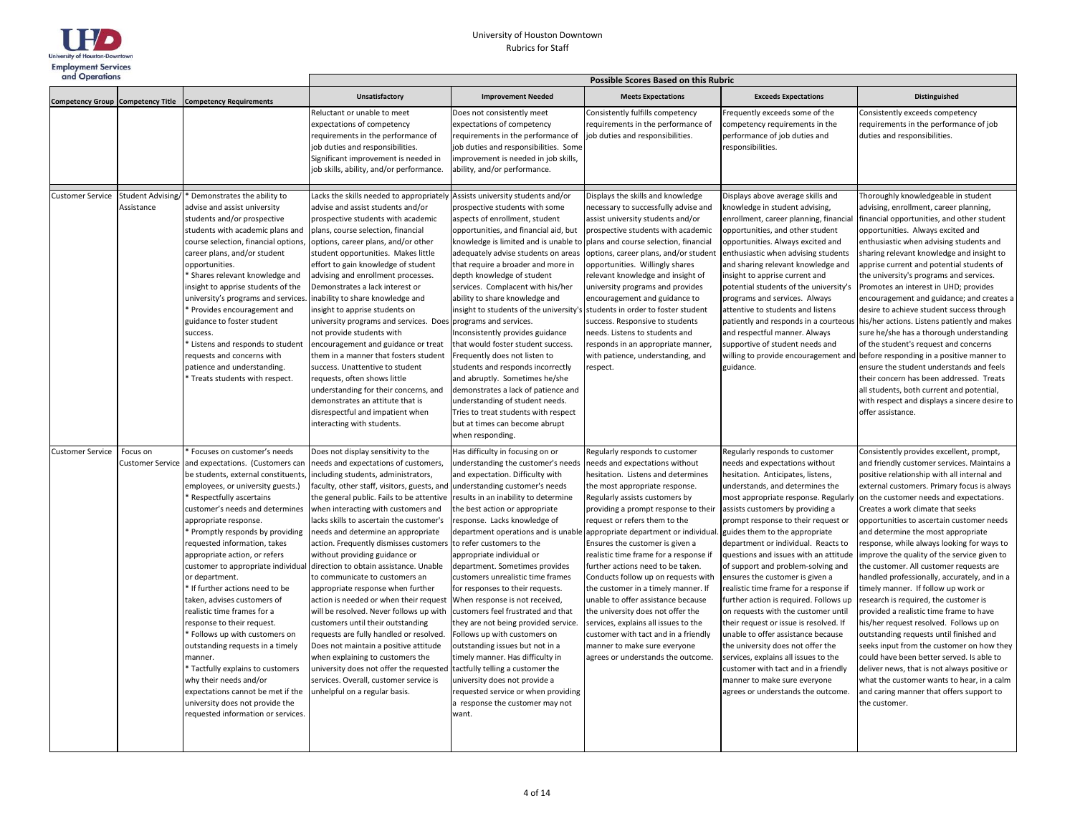

| and Operations                           |                                |                                                                                                                                                                                                                                                                                                                                                                                                                                                                                                                                                                                                                                                                                                                                                                                            | Possible Scores Based on this Rubric                                                                                                                                                                                                                                                                                                                                                                                                                                                                                                                                                                                                                                                                                                                                                                                                                                                                        |                                                                                                                                                                                                                                                                                                                                                                                                                                                                                                                                                                                                                                                                                                                                                                                                                                                   |                                                                                                                                                                                                                                                                                                                                                                                                                                                                                                                                                                                                                                                                                                                             |                                                                                                                                                                                                                                                                                                                                                                                                                                                                                                                                                                                                                                                                                                                                                                                                                                                              |                                                                                                                                                                                                                                                                                                                                                                                                                                                                                                                                                                                                                                                                                                                                                                                                                                                                                                                                                                                                                        |
|------------------------------------------|--------------------------------|--------------------------------------------------------------------------------------------------------------------------------------------------------------------------------------------------------------------------------------------------------------------------------------------------------------------------------------------------------------------------------------------------------------------------------------------------------------------------------------------------------------------------------------------------------------------------------------------------------------------------------------------------------------------------------------------------------------------------------------------------------------------------------------------|-------------------------------------------------------------------------------------------------------------------------------------------------------------------------------------------------------------------------------------------------------------------------------------------------------------------------------------------------------------------------------------------------------------------------------------------------------------------------------------------------------------------------------------------------------------------------------------------------------------------------------------------------------------------------------------------------------------------------------------------------------------------------------------------------------------------------------------------------------------------------------------------------------------|---------------------------------------------------------------------------------------------------------------------------------------------------------------------------------------------------------------------------------------------------------------------------------------------------------------------------------------------------------------------------------------------------------------------------------------------------------------------------------------------------------------------------------------------------------------------------------------------------------------------------------------------------------------------------------------------------------------------------------------------------------------------------------------------------------------------------------------------------|-----------------------------------------------------------------------------------------------------------------------------------------------------------------------------------------------------------------------------------------------------------------------------------------------------------------------------------------------------------------------------------------------------------------------------------------------------------------------------------------------------------------------------------------------------------------------------------------------------------------------------------------------------------------------------------------------------------------------------|--------------------------------------------------------------------------------------------------------------------------------------------------------------------------------------------------------------------------------------------------------------------------------------------------------------------------------------------------------------------------------------------------------------------------------------------------------------------------------------------------------------------------------------------------------------------------------------------------------------------------------------------------------------------------------------------------------------------------------------------------------------------------------------------------------------------------------------------------------------|------------------------------------------------------------------------------------------------------------------------------------------------------------------------------------------------------------------------------------------------------------------------------------------------------------------------------------------------------------------------------------------------------------------------------------------------------------------------------------------------------------------------------------------------------------------------------------------------------------------------------------------------------------------------------------------------------------------------------------------------------------------------------------------------------------------------------------------------------------------------------------------------------------------------------------------------------------------------------------------------------------------------|
| <b>Competency Group Competency Title</b> |                                | <b>Competency Requirements</b>                                                                                                                                                                                                                                                                                                                                                                                                                                                                                                                                                                                                                                                                                                                                                             | <b>Unsatisfactory</b>                                                                                                                                                                                                                                                                                                                                                                                                                                                                                                                                                                                                                                                                                                                                                                                                                                                                                       | <b>Improvement Needed</b>                                                                                                                                                                                                                                                                                                                                                                                                                                                                                                                                                                                                                                                                                                                                                                                                                         | <b>Meets Expectations</b>                                                                                                                                                                                                                                                                                                                                                                                                                                                                                                                                                                                                                                                                                                   | <b>Exceeds Expectations</b>                                                                                                                                                                                                                                                                                                                                                                                                                                                                                                                                                                                                                                                                                                                                                                                                                                  | <b>Distinguished</b>                                                                                                                                                                                                                                                                                                                                                                                                                                                                                                                                                                                                                                                                                                                                                                                                                                                                                                                                                                                                   |
|                                          |                                |                                                                                                                                                                                                                                                                                                                                                                                                                                                                                                                                                                                                                                                                                                                                                                                            | Reluctant or unable to meet<br>expectations of competency<br>equirements in the performance of<br>job duties and responsibilities.<br>Significant improvement is needed in<br>job skills, ability, and/or performance.                                                                                                                                                                                                                                                                                                                                                                                                                                                                                                                                                                                                                                                                                      | Does not consistently meet<br>expectations of competency<br>requirements in the performance of<br>job duties and responsibilities. Some<br>improvement is needed in job skills,<br>ability, and/or performance.                                                                                                                                                                                                                                                                                                                                                                                                                                                                                                                                                                                                                                   | Consistently fulfills competency<br>requirements in the performance of<br>job duties and responsibilities.                                                                                                                                                                                                                                                                                                                                                                                                                                                                                                                                                                                                                  | Frequently exceeds some of the<br>competency requirements in the<br>performance of job duties and<br>responsibilities.                                                                                                                                                                                                                                                                                                                                                                                                                                                                                                                                                                                                                                                                                                                                       | Consistently exceeds competency<br>requirements in the performance of job<br>duties and responsibilities.                                                                                                                                                                                                                                                                                                                                                                                                                                                                                                                                                                                                                                                                                                                                                                                                                                                                                                              |
| <b>Customer Service</b>                  | Student Advising<br>Assistance | Demonstrates the ability to<br>advise and assist university<br>students and/or prospective<br>students with academic plans and<br>course selection, financial options,<br>career plans, and/or student<br>opportunities.<br>* Shares relevant knowledge and<br>insight to apprise students of the<br>university's programs and services.<br>Provides encouragement and<br>guidance to foster student<br>success.<br>Listens and responds to student<br>requests and concerns with<br>patience and understanding.<br>Treats students with respect.                                                                                                                                                                                                                                          | Lacks the skills needed to appropriately Assists university students and/or<br>advise and assist students and/or<br>prospective students with academic<br>plans, course selection, financial<br>options, career plans, and/or other<br>student opportunities. Makes little<br>effort to gain knowledge of student<br>advising and enrollment processes.<br>Demonstrates a lack interest or<br>inability to share knowledge and<br>nsight to apprise students on<br>university programs and services. Does programs and services.<br>not provide students with<br>encouragement and guidance or treat<br>them in a manner that fosters student<br>success. Unattentive to student<br>requests, often shows little<br>understanding for their concerns, and<br>demonstrates an attitute that is<br>disrespectful and impatient when<br>interacting with students.                                             | prospective students with some<br>aspects of enrollment, student<br>opportunities, and financial aid, but<br>knowledge is limited and is unable to<br>adequately advise students on areas<br>that require a broader and more in<br>depth knowledge of student<br>services. Complacent with his/her<br>ability to share knowledge and<br>insight to students of the university's<br>Inconsistently provides guidance<br>that would foster student success.<br>Frequently does not listen to<br>students and responds incorrectly<br>and abruptly. Sometimes he/she<br>demonstrates a lack of patience and<br>understanding of student needs.<br>Tries to treat students with respect<br>but at times can become abrupt<br>when responding.                                                                                                         | Displays the skills and knowledge<br>necessary to successfully advise and<br>assist university students and/or<br>prospective students with academic<br>plans and course selection, financial<br>options, career plans, and/or student<br>opportunities. Willingly shares<br>relevant knowledge and insight of<br>university programs and provides<br>encouragement and guidance to<br>students in order to foster student<br>success. Responsive to students<br>needs. Listens to students and<br>responds in an appropriate manner<br>with patience, understanding, and<br>respect.                                                                                                                                       | Displays above average skills and<br>knowledge in student advising,<br>enrollment, career planning, financial<br>opportunities, and other student<br>opportunities. Always excited and<br>enthusiastic when advising students<br>and sharing relevant knowledge and<br>insight to apprise current and<br>potential students of the university's<br>programs and services. Always<br>attentive to students and listens<br>patiently and responds in a courteous<br>and respectful manner. Always<br>supportive of student needs and<br>willing to provide encouragement and<br>guidance.                                                                                                                                                                                                                                                                      | Thoroughly knowledgeable in student<br>advising, enrollment, career planning,<br>financial opportunities, and other student<br>opportunities. Always excited and<br>enthusiastic when advising students and<br>sharing relevant knowledge and insight to<br>apprise current and potential students of<br>the university's programs and services.<br>Promotes an interest in UHD; provides<br>encouragement and guidance; and creates a<br>desire to achieve student success through<br>his/her actions. Listens patiently and makes<br>sure he/she has a thorough understanding<br>of the student's request and concerns<br>before responding in a positive manner to<br>ensure the student understands and feels<br>their concern has been addressed. Treats<br>all students, both current and potential,<br>with respect and displays a sincere desire to<br>offer assistance.                                                                                                                                       |
| <b>Customer Service</b>                  | Focus on<br>Customer Service   | Focuses on customer's needs<br>and expectations. (Customers can<br>be students, external constituents,<br>employees, or university guests.)<br>* Respectfully ascertains<br>customer's needs and determines<br>appropriate response.<br>* Promptly responds by providing<br>requested information, takes<br>appropriate action, or refers<br>customer to appropriate individual<br>or department.<br>* If further actions need to be<br>taken, advises customers of<br>realistic time frames for a<br>response to their request.<br>Follows up with customers on<br>outstanding requests in a timely<br>manner.<br>Tactfully explains to customers<br>why their needs and/or<br>expectations cannot be met if the<br>university does not provide the<br>requested information or services. | Does not display sensitivity to the<br>needs and expectations of customers,<br>including students, administrators,<br>faculty, other staff, visitors, guests, and<br>the general public. Fails to be attentive<br>when interacting with customers and<br>lacks skills to ascertain the customer's<br>needs and determine an appropriate<br>action. Frequently dismisses customers<br>without providing guidance or<br>direction to obtain assistance. Unable<br>to communicate to customers an<br>appropriate response when further<br>action is needed or when their request<br>will be resolved. Never follows up with<br>customers until their outstanding<br>requests are fully handled or resolved.<br>Does not maintain a positive attitude<br>when explaining to customers the<br>university does not offer the requested<br>services. Overall, customer service is<br>unhelpful on a regular basis. | Has difficulty in focusing on or<br>understanding the customer's needs<br>and expectation. Difficulty with<br>understanding customer's needs<br>results in an inability to determine<br>the best action or appropriate<br>response. Lacks knowledge of<br>department operations and is unable<br>to refer customers to the<br>appropriate individual or<br>department. Sometimes provides<br>customers unrealistic time frames<br>for responses to their requests.<br>When response is not received,<br>customers feel frustrated and that<br>they are not being provided service.<br>Follows up with customers on<br>outstanding issues but not in a<br>timely manner. Has difficulty in<br>tactfully telling a customer the<br>university does not provide a<br>requested service or when providing<br>a response the customer may not<br>want. | Regularly responds to customer<br>needs and expectations without<br>hesitation. Listens and determines<br>the most appropriate response.<br>Regularly assists customers by<br>providing a prompt response to their<br>request or refers them to the<br>appropriate department or individua<br>Ensures the customer is given a<br>realistic time frame for a response if<br>further actions need to be taken.<br>Conducts follow up on requests with<br>the customer in a timely manner. If<br>unable to offer assistance because<br>the university does not offer the<br>services, explains all issues to the<br>customer with tact and in a friendly<br>manner to make sure everyone<br>agrees or understands the outcome. | Regularly responds to customer<br>needs and expectations without<br>hesitation. Anticipates, listens,<br>understands, and determines the<br>most appropriate response. Regularly<br>assists customers by providing a<br>prompt response to their request or<br>guides them to the appropriate<br>department or individual. Reacts to<br>questions and issues with an attitude<br>of support and problem-solving and<br>ensures the customer is given a<br>realistic time frame for a response if<br>further action is required. Follows up<br>on requests with the customer until<br>their request or issue is resolved. If<br>unable to offer assistance because<br>the university does not offer the<br>services, explains all issues to the<br>customer with tact and in a friendly<br>manner to make sure everyone<br>agrees or understands the outcome. | Consistently provides excellent, prompt,<br>and friendly customer services. Maintains a<br>positive relationship with all internal and<br>external customers. Primary focus is always<br>on the customer needs and expectations.<br>Creates a work climate that seeks<br>opportunities to ascertain customer needs<br>and determine the most appropriate<br>response, while always looking for ways to<br>improve the quality of the service given to<br>the customer. All customer requests are<br>handled professionally, accurately, and in a<br>timely manner. If follow up work or<br>research is required, the customer is<br>provided a realistic time frame to have<br>his/her request resolved. Follows up on<br>outstanding requests until finished and<br>seeks input from the customer on how they<br>could have been better served. Is able to<br>deliver news, that is not always positive or<br>what the customer wants to hear, in a calm<br>and caring manner that offers support to<br>the customer. |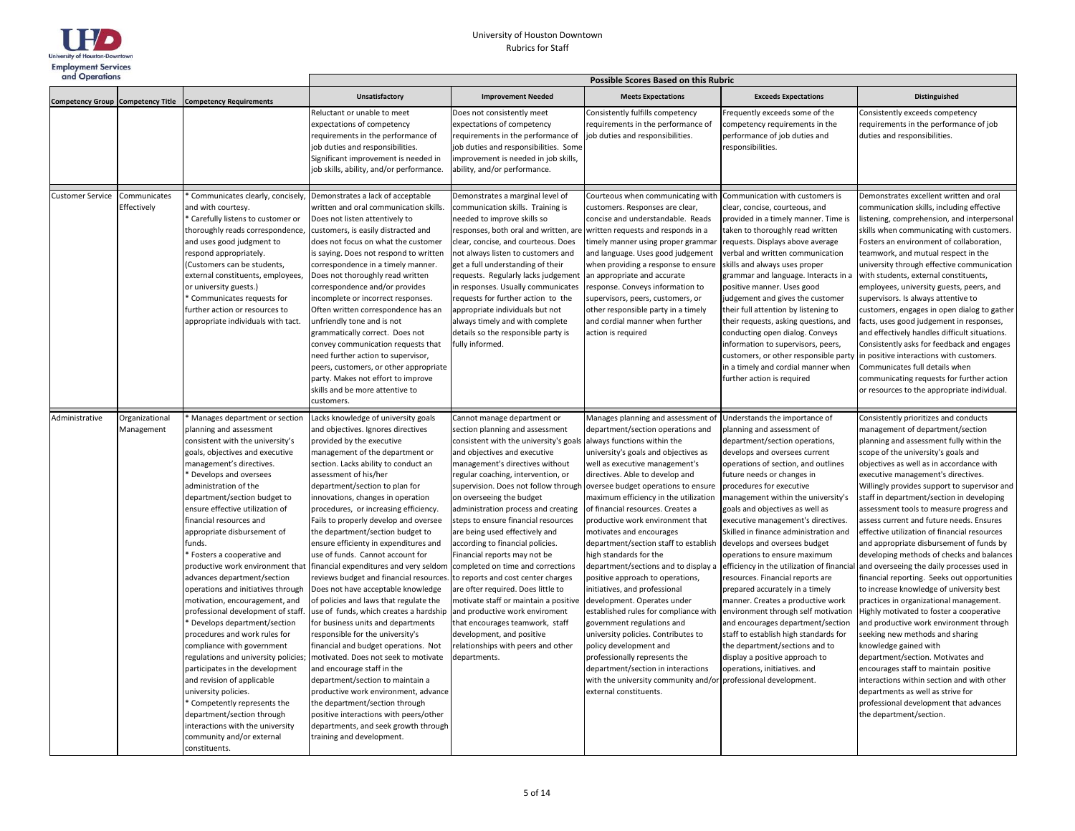

| and Operations          |                              |                                                                                                                                                                                                                                                                                                                                                                                                                                                                                                                                                                                                                                                                                                                                                                                                                                                                                                                                                              | <b>Possible Scores Based on this Rubric</b>                                                                                                                                                                                                                                                                                                                                                                                                                                                                                                                                                                                                                                                                                                                                                                                                                                                                                                                                                                                                                                                                              |                                                                                                                                                                                                                                                                                                                                                                                                                                                                                                                                                                                                                                                                                                                                                                                             |                                                                                                                                                                                                                                                                                                                                                                                                                                                                                                                                                                                                                                                                                                                                                                                                                                                                                                                                    |                                                                                                                                                                                                                                                                                                                                                                                                                                                                                                                                                                                                                                                                                                                                                                                                                                            |                                                                                                                                                                                                                                                                                                                                                                                                                                                                                                                                                                                                                                                                                                                                                                                                                                                                                                                                                                                                                                                                                                                                                            |  |
|-------------------------|------------------------------|--------------------------------------------------------------------------------------------------------------------------------------------------------------------------------------------------------------------------------------------------------------------------------------------------------------------------------------------------------------------------------------------------------------------------------------------------------------------------------------------------------------------------------------------------------------------------------------------------------------------------------------------------------------------------------------------------------------------------------------------------------------------------------------------------------------------------------------------------------------------------------------------------------------------------------------------------------------|--------------------------------------------------------------------------------------------------------------------------------------------------------------------------------------------------------------------------------------------------------------------------------------------------------------------------------------------------------------------------------------------------------------------------------------------------------------------------------------------------------------------------------------------------------------------------------------------------------------------------------------------------------------------------------------------------------------------------------------------------------------------------------------------------------------------------------------------------------------------------------------------------------------------------------------------------------------------------------------------------------------------------------------------------------------------------------------------------------------------------|---------------------------------------------------------------------------------------------------------------------------------------------------------------------------------------------------------------------------------------------------------------------------------------------------------------------------------------------------------------------------------------------------------------------------------------------------------------------------------------------------------------------------------------------------------------------------------------------------------------------------------------------------------------------------------------------------------------------------------------------------------------------------------------------|------------------------------------------------------------------------------------------------------------------------------------------------------------------------------------------------------------------------------------------------------------------------------------------------------------------------------------------------------------------------------------------------------------------------------------------------------------------------------------------------------------------------------------------------------------------------------------------------------------------------------------------------------------------------------------------------------------------------------------------------------------------------------------------------------------------------------------------------------------------------------------------------------------------------------------|--------------------------------------------------------------------------------------------------------------------------------------------------------------------------------------------------------------------------------------------------------------------------------------------------------------------------------------------------------------------------------------------------------------------------------------------------------------------------------------------------------------------------------------------------------------------------------------------------------------------------------------------------------------------------------------------------------------------------------------------------------------------------------------------------------------------------------------------|------------------------------------------------------------------------------------------------------------------------------------------------------------------------------------------------------------------------------------------------------------------------------------------------------------------------------------------------------------------------------------------------------------------------------------------------------------------------------------------------------------------------------------------------------------------------------------------------------------------------------------------------------------------------------------------------------------------------------------------------------------------------------------------------------------------------------------------------------------------------------------------------------------------------------------------------------------------------------------------------------------------------------------------------------------------------------------------------------------------------------------------------------------|--|
|                         |                              | Competency Group Competency Title Competency Requirements                                                                                                                                                                                                                                                                                                                                                                                                                                                                                                                                                                                                                                                                                                                                                                                                                                                                                                    | <b>Unsatisfactory</b>                                                                                                                                                                                                                                                                                                                                                                                                                                                                                                                                                                                                                                                                                                                                                                                                                                                                                                                                                                                                                                                                                                    | <b>Improvement Needed</b>                                                                                                                                                                                                                                                                                                                                                                                                                                                                                                                                                                                                                                                                                                                                                                   | <b>Meets Expectations</b>                                                                                                                                                                                                                                                                                                                                                                                                                                                                                                                                                                                                                                                                                                                                                                                                                                                                                                          | <b>Exceeds Expectations</b>                                                                                                                                                                                                                                                                                                                                                                                                                                                                                                                                                                                                                                                                                                                                                                                                                | <b>Distinguished</b>                                                                                                                                                                                                                                                                                                                                                                                                                                                                                                                                                                                                                                                                                                                                                                                                                                                                                                                                                                                                                                                                                                                                       |  |
|                         |                              |                                                                                                                                                                                                                                                                                                                                                                                                                                                                                                                                                                                                                                                                                                                                                                                                                                                                                                                                                              | Reluctant or unable to meet<br>expectations of competency<br>requirements in the performance of<br>job duties and responsibilities.<br>Significant improvement is needed in<br>job skills, ability, and/or performance.                                                                                                                                                                                                                                                                                                                                                                                                                                                                                                                                                                                                                                                                                                                                                                                                                                                                                                  | Does not consistently meet<br>expectations of competency<br>requirements in the performance of<br>job duties and responsibilities. Some<br>improvement is needed in job skills,<br>ability, and/or performance.                                                                                                                                                                                                                                                                                                                                                                                                                                                                                                                                                                             | Consistently fulfills competency<br>requirements in the performance of<br>job duties and responsibilities.                                                                                                                                                                                                                                                                                                                                                                                                                                                                                                                                                                                                                                                                                                                                                                                                                         | Frequently exceeds some of the<br>competency requirements in the<br>performance of job duties and<br>responsibilities.                                                                                                                                                                                                                                                                                                                                                                                                                                                                                                                                                                                                                                                                                                                     | Consistently exceeds competency<br>requirements in the performance of job<br>duties and responsibilities.                                                                                                                                                                                                                                                                                                                                                                                                                                                                                                                                                                                                                                                                                                                                                                                                                                                                                                                                                                                                                                                  |  |
| <b>Customer Service</b> | Communicates<br>Effectively  | Communicates clearly, concisely,<br>and with courtesy.<br>Carefully listens to customer or<br>thoroughly reads correspondence,<br>and uses good judgment to<br>respond appropriately.<br>(Customers can be students,<br>external constituents, employees,<br>or university guests.)<br><sup>*</sup> Communicates requests for<br>further action or resources to<br>appropriate individuals with tact.                                                                                                                                                                                                                                                                                                                                                                                                                                                                                                                                                        | Demonstrates a lack of acceptable<br>written and oral communication skills.<br>Does not listen attentively to<br>customers, is easily distracted and<br>does not focus on what the customer<br>is saying. Does not respond to written<br>correspondence in a timely manner.<br>Does not thoroughly read written<br>correspondence and/or provides<br>incomplete or incorrect responses.<br>Often written correspondence has an<br>unfriendly tone and is not<br>grammatically correct. Does not<br>convey communication requests that<br>need further action to supervisor,<br>peers, customers, or other appropriate<br>party. Makes not effort to improve<br>skills and be more attentive to<br>customers.                                                                                                                                                                                                                                                                                                                                                                                                             | Demonstrates a marginal level of<br>communication skills. Training is<br>needed to improve skills so<br>responses, both oral and written, are<br>clear, concise, and courteous. Does<br>not always listen to customers and<br>get a full understanding of their<br>requests. Regularly lacks judgement<br>in responses. Usually communicates<br>requests for further action to the<br>appropriate individuals but not<br>always timely and with complete<br>details so the responsible party is<br>fully informed.                                                                                                                                                                                                                                                                          | Courteous when communicating with<br>customers. Responses are clear,<br>concise and understandable. Reads<br>written requests and responds in a<br>timely manner using proper gramma<br>and language. Uses good judgement<br>when providing a response to ensure<br>an appropriate and accurate<br>response. Conveys information to<br>supervisors, peers, customers, or<br>other responsible party in a timely<br>and cordial manner when further<br>action is required                                                                                                                                                                                                                                                                                                                                                                                                                                                           | Communication with customers is<br>clear, concise, courteous, and<br>provided in a timely manner. Time is<br>taken to thoroughly read written<br>requests. Displays above average<br>verbal and written communication<br>skills and always uses proper<br>grammar and language. Interacts in a<br>positive manner. Uses good<br>judgement and gives the customer<br>their full attention by listening to<br>their requests, asking questions, and<br>conducting open dialog. Conveys<br>information to supervisors, peers,<br>customers, or other responsible party<br>in a timely and cordial manner when<br>further action is required                                                                                                                                                                                                   | Demonstrates excellent written and oral<br>communication skills, including effective<br>listening, comprehension, and interpersonal<br>skills when communicating with customers.<br>Fosters an environment of collaboration,<br>teamwork, and mutual respect in the<br>university through effective communication<br>with students, external constituents,<br>employees, university guests, peers, and<br>supervisors. Is always attentive to<br>customers, engages in open dialog to gather<br>facts, uses good judgement in responses,<br>and effectively handles difficult situations.<br>Consistently asks for feedback and engages<br>in positive interactions with customers.<br>Communicates full details when<br>communicating requests for further action<br>or resources to the appropriate individual.                                                                                                                                                                                                                                                                                                                                          |  |
| Administrative          | Organizational<br>Management | Manages department or section<br>planning and assessment<br>consistent with the university's<br>goals, objectives and executive<br>management's directives.<br><sup>*</sup> Develops and oversees<br>administration of the<br>department/section budget to<br>ensure effective utilization of<br>financial resources and<br>appropriate disbursement of<br>funds.<br>Fosters a cooperative and<br>productive work environment that<br>advances department/section<br>operations and initiatives through<br>motivation, encouragement, and<br>professional development of staff.<br>Develops department/section<br>procedures and work rules for<br>compliance with government<br>regulations and university policies;<br>participates in the development<br>and revision of applicable<br>university policies.<br>Competently represents the<br>department/section through<br>interactions with the university<br>community and/or external<br>constituents. | Lacks knowledge of university goals<br>and objectives. Ignores directives<br>provided by the executive<br>management of the department or<br>section. Lacks ability to conduct an<br>assessment of his/her<br>department/section to plan for<br>innovations, changes in operation<br>procedures, or increasing efficiency.<br>Fails to properly develop and oversee<br>the department/section budget to<br>ensure efficienty in expenditures and<br>use of funds. Cannot account for<br>financial expenditures and very seldom<br>reviews budget and financial resources.<br>Does not have acceptable knowledge<br>of policies and laws that regulate the<br>use of funds, which creates a hardship<br>for business units and departments<br>responsible for the university's<br>financial and budget operations. Not<br>motivated. Does not seek to motivate<br>and encourage staff in the<br>department/section to maintain a<br>productive work environment, advance<br>the department/section through<br>positive interactions with peers/other<br>departments, and seek growth through<br>training and development. | Cannot manage department or<br>section planning and assessment<br>consistent with the university's goals<br>and objectives and executive<br>management's directives without<br>regular coaching, intervention, or<br>supervision. Does not follow through<br>on overseeing the budget<br>administration process and creating<br>steps to ensure financial resources<br>are being used effectively and<br>according to financial policies.<br>Financial reports may not be<br>completed on time and corrections<br>to reports and cost center charges<br>are ofter required. Does little to<br>motivate staff or maintain a positive<br>and productive work enviroment<br>that encourages teamwork, staff<br>development, and positive<br>relationships with peers and other<br>departments. | Manages planning and assessment of<br>department/section operations and<br>always functions within the<br>university's goals and objectives as<br>well as executive management's<br>directives. Able to develop and<br>oversee budget operations to ensure<br>naximum efficiency in the utilization<br>of financial resources. Creates a<br>productive work environment that<br>notivates and encourages<br>department/section staff to establish<br>high standards for the<br>department/sections and to display a<br>positive approach to operations,<br>initiatives, and professional<br>development. Operates under<br>established rules for compliance with<br>government regulations and<br>university policies. Contributes to<br>policy development and<br>professionally represents the<br>department/section in interactions<br>with the university community and/or professional development.<br>external constituents. | Understands the importance of<br>planning and assessment of<br>department/section operations,<br>develops and oversees current<br>operations of section, and outlines<br>future needs or changes in<br>procedures for executive<br>management within the university's<br>goals and objectives as well as<br>executive management's directives.<br>Skilled in finance administration and<br>develops and oversees budget<br>operations to ensure maximum<br>efficiency in the utilization of financial<br>resources. Financial reports are<br>prepared accurately in a timely<br>manner. Creates a productive work<br>environment through self motivation<br>and encourages department/section<br>staff to establish high standards for<br>the department/sections and to<br>display a positive approach to<br>operations, initiatives. and | Consistently prioritizes and conducts<br>management of department/section<br>planning and assessment fully within the<br>scope of the university's goals and<br>objectives as well as in accordance with<br>executive management's directives.<br>Willingly provides support to supervisor and<br>staff in department/section in developing<br>assessment tools to measure progress and<br>assess current and future needs. Ensures<br>effective utilization of financial resources<br>and appropriate disbursement of funds by<br>developing methods of checks and balances<br>and overseeing the daily processes used in<br>financial reporting. Seeks out opportunities<br>to increase knowledge of university best<br>practices in organizational management.<br>Highly motivated to foster a cooperative<br>and productive work environment through<br>seeking new methods and sharing<br>knowledge gained with<br>department/section. Motivates and<br>encourages staff to maintain positive<br>interactions within section and with other<br>departments as well as strive for<br>professional development that advances<br>the department/section. |  |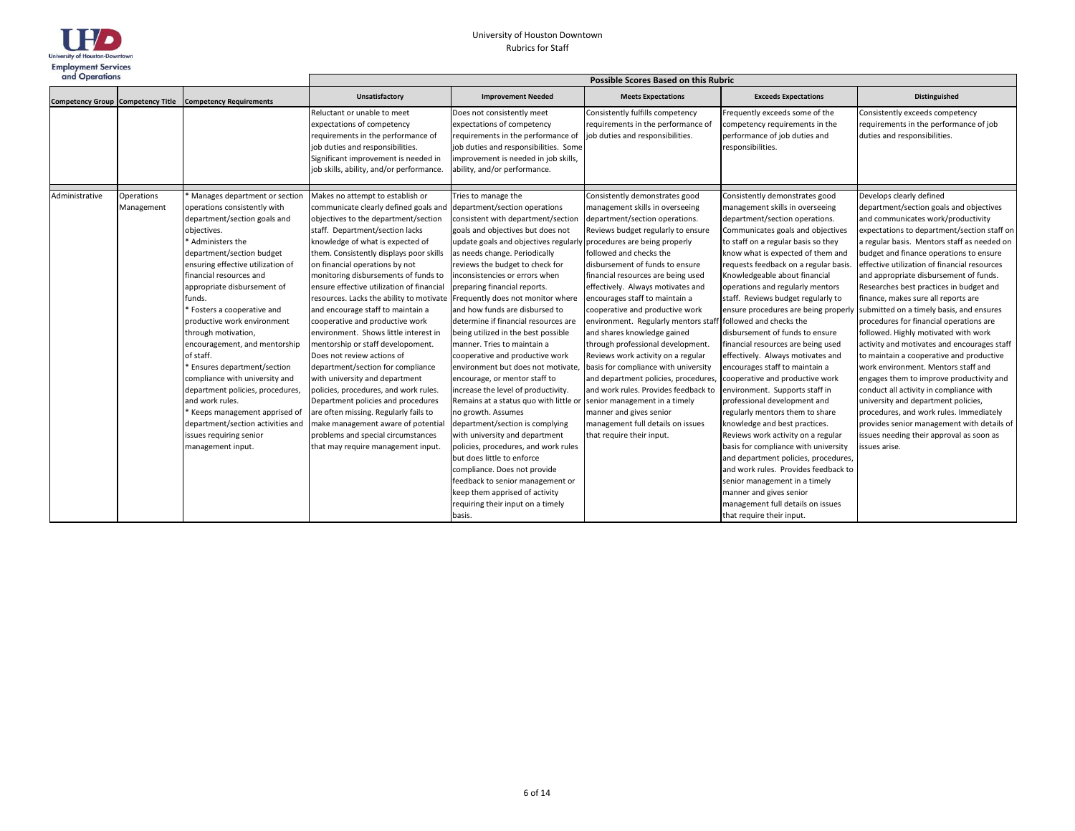

| and Operations |                          |                                                                                                                                                                                                                                                                                                                                                                                                                                                                                                                                                                                                                                                    | Possible Scores Based on this Rubric                                                                                                                                                                                                                                                                                                                                                                                                                                                                                                                                                                                                                                                                                                                                                                                                                                                                                                         |                                                                                                                                                                                                                                                                                                                                                                                                                                                                                                                                                                                                                                                                                                                                                                                                                                                                                                                                                                                 |                                                                                                                                                                                                                                                                                                                                                                                                                                                                                                                                                                                                                                                                                                                                                                                                                         |                                                                                                                                                                                                                                                                                                                                                                                                                                                                                                                                                                                                                                                                                                                                                                                                                                                                                                                                                                                                                                       |                                                                                                                                                                                                                                                                                                                                                                                                                                                                                                                                                                                                                                                                                                                                                                                                                                                                                                                                                                                     |  |
|----------------|--------------------------|----------------------------------------------------------------------------------------------------------------------------------------------------------------------------------------------------------------------------------------------------------------------------------------------------------------------------------------------------------------------------------------------------------------------------------------------------------------------------------------------------------------------------------------------------------------------------------------------------------------------------------------------------|----------------------------------------------------------------------------------------------------------------------------------------------------------------------------------------------------------------------------------------------------------------------------------------------------------------------------------------------------------------------------------------------------------------------------------------------------------------------------------------------------------------------------------------------------------------------------------------------------------------------------------------------------------------------------------------------------------------------------------------------------------------------------------------------------------------------------------------------------------------------------------------------------------------------------------------------|---------------------------------------------------------------------------------------------------------------------------------------------------------------------------------------------------------------------------------------------------------------------------------------------------------------------------------------------------------------------------------------------------------------------------------------------------------------------------------------------------------------------------------------------------------------------------------------------------------------------------------------------------------------------------------------------------------------------------------------------------------------------------------------------------------------------------------------------------------------------------------------------------------------------------------------------------------------------------------|-------------------------------------------------------------------------------------------------------------------------------------------------------------------------------------------------------------------------------------------------------------------------------------------------------------------------------------------------------------------------------------------------------------------------------------------------------------------------------------------------------------------------------------------------------------------------------------------------------------------------------------------------------------------------------------------------------------------------------------------------------------------------------------------------------------------------|---------------------------------------------------------------------------------------------------------------------------------------------------------------------------------------------------------------------------------------------------------------------------------------------------------------------------------------------------------------------------------------------------------------------------------------------------------------------------------------------------------------------------------------------------------------------------------------------------------------------------------------------------------------------------------------------------------------------------------------------------------------------------------------------------------------------------------------------------------------------------------------------------------------------------------------------------------------------------------------------------------------------------------------|-------------------------------------------------------------------------------------------------------------------------------------------------------------------------------------------------------------------------------------------------------------------------------------------------------------------------------------------------------------------------------------------------------------------------------------------------------------------------------------------------------------------------------------------------------------------------------------------------------------------------------------------------------------------------------------------------------------------------------------------------------------------------------------------------------------------------------------------------------------------------------------------------------------------------------------------------------------------------------------|--|
|                |                          | Competency Group Competency Title Competency Requirements                                                                                                                                                                                                                                                                                                                                                                                                                                                                                                                                                                                          | Unsatisfactory                                                                                                                                                                                                                                                                                                                                                                                                                                                                                                                                                                                                                                                                                                                                                                                                                                                                                                                               | <b>Improvement Needed</b>                                                                                                                                                                                                                                                                                                                                                                                                                                                                                                                                                                                                                                                                                                                                                                                                                                                                                                                                                       | <b>Meets Expectations</b>                                                                                                                                                                                                                                                                                                                                                                                                                                                                                                                                                                                                                                                                                                                                                                                               | <b>Exceeds Expectations</b>                                                                                                                                                                                                                                                                                                                                                                                                                                                                                                                                                                                                                                                                                                                                                                                                                                                                                                                                                                                                           | Distinguished                                                                                                                                                                                                                                                                                                                                                                                                                                                                                                                                                                                                                                                                                                                                                                                                                                                                                                                                                                       |  |
|                |                          |                                                                                                                                                                                                                                                                                                                                                                                                                                                                                                                                                                                                                                                    | Reluctant or unable to meet<br>expectations of competency<br>equirements in the performance of<br>job duties and responsibilities.<br>Significant improvement is needed in<br>job skills, ability, and/or performance.                                                                                                                                                                                                                                                                                                                                                                                                                                                                                                                                                                                                                                                                                                                       | Does not consistently meet<br>expectations of competency<br>requirements in the performance of<br>job duties and responsibilities. Some<br>improvement is needed in job skills,<br>ability, and/or performance.                                                                                                                                                                                                                                                                                                                                                                                                                                                                                                                                                                                                                                                                                                                                                                 | Consistently fulfills competency<br>requirements in the performance of<br>job duties and responsibilities.                                                                                                                                                                                                                                                                                                                                                                                                                                                                                                                                                                                                                                                                                                              | Frequently exceeds some of the<br>competency requirements in the<br>performance of job duties and<br>responsibilities.                                                                                                                                                                                                                                                                                                                                                                                                                                                                                                                                                                                                                                                                                                                                                                                                                                                                                                                | Consistently exceeds competency<br>requirements in the performance of job<br>duties and responsibilities.                                                                                                                                                                                                                                                                                                                                                                                                                                                                                                                                                                                                                                                                                                                                                                                                                                                                           |  |
| Administrative | Operations<br>Management | Manages department or section<br>operations consistently with<br>department/section goals and<br>objectives.<br>Administers the<br>department/section budget<br>ensuring effective utilization of<br>financial resources and<br>appropriate disbursement of<br>funds.<br>Fosters a cooperative and<br>productive work environment<br>through motivation,<br>encouragement, and mentorship<br>of staff.<br>Ensures department/section<br>compliance with university and<br>department policies, procedures,<br>and work rules.<br>Keeps management apprised of<br>department/section activities and<br>issues requiring senior<br>management input. | Makes no attempt to establish or<br>communicate clearly defined goals and<br>objectives to the department/section<br>staff. Department/section lacks<br>knowledge of what is expected of<br>them. Consistently displays poor skills<br>on financial operations by not<br>monitoring disbursements of funds to<br>ensure effective utilization of financial<br>esources. Lacks the ability to motivate Frequently does not monitor where<br>and encourage staff to maintain a<br>cooperative and productive work<br>environment. Shows little interest in<br>mentorship or staff developoment.<br>Does not review actions of<br>department/section for compliance<br>with university and department<br>policies, procedures, and work rules.<br>Department policies and procedures<br>are often missing. Regularly fails to<br>make management aware of potential<br>problems and special circumstances<br>that may require management input. | Tries to manage the<br>department/section operations<br>consistent with department/section<br>goals and objectives but does not<br>update goals and objectives regularly<br>as needs change. Periodically<br>reviews the budget to check for<br>inconsistencies or errors when<br>preparing financial reports.<br>and how funds are disbursed to<br>determine if financial resources are<br>being utilized in the best possible<br>manner. Tries to maintain a<br>cooperative and productive work<br>environment but does not motivate,<br>encourage, or mentor staff to<br>increase the level of productivity.<br>Remains at a status quo with little or<br>no growth. Assumes<br>department/section is complying<br>with university and department<br>policies, procedures, and work rules<br>but does little to enforce<br>compliance. Does not provide<br>feedback to senior management or<br>keep them apprised of activity<br>requiring their input on a timely<br>basis. | Consistently demonstrates good<br>management skills in overseeing<br>department/section operations.<br>Reviews budget regularly to ensure<br>procedures are being properly<br>followed and checks the<br>disbursement of funds to ensure<br>financial resources are being used<br>effectively. Always motivates and<br>encourages staff to maintain a<br>cooperative and productive work<br>environment. Regularly mentors staff followed and checks the<br>and shares knowledge gained<br>through professional development.<br>Reviews work activity on a regular<br>basis for compliance with university<br>and department policies, procedures<br>and work rules. Provides feedback to<br>senior management in a timely<br>manner and gives senior<br>management full details on issues<br>that require their input. | Consistently demonstrates good<br>management skills in overseeing<br>department/section operations.<br>Communicates goals and objectives<br>to staff on a regular basis so they<br>know what is expected of them and<br>requests feedback on a regular basis.<br>Knowledgeable about financial<br>operations and regularly mentors<br>staff. Reviews budget regularly to<br>ensure procedures are being properly<br>disbursement of funds to ensure<br>financial resources are being used<br>effectively. Always motivates and<br>encourages staff to maintain a<br>cooperative and productive work<br>environment. Supports staff in<br>professional development and<br>regularly mentors them to share<br>knowledge and best practices.<br>Reviews work activity on a regular<br>basis for compliance with university<br>and department policies, procedures,<br>and work rules. Provides feedback to<br>senior management in a timely<br>manner and gives senior<br>management full details on issues<br>that require their input. | Develops clearly defined<br>department/section goals and objectives<br>and communicates work/productivity<br>expectations to department/section staff on<br>a regular basis. Mentors staff as needed on<br>budget and finance operations to ensure<br>effective utilization of financial resources<br>and appropriate disbursement of funds.<br>Researches best practices in budget and<br>finance, makes sure all reports are<br>submitted on a timely basis, and ensures<br>procedures for financial operations are<br>followed. Highly motivated with work<br>activity and motivates and encourages staff<br>to maintain a cooperative and productive<br>work environment. Mentors staff and<br>engages them to improve productivity and<br>conduct all activity in compliance with<br>university and department policies,<br>procedures, and work rules. Immediately<br>provides senior management with details of<br>issues needing their approval as soon as<br>issues arise. |  |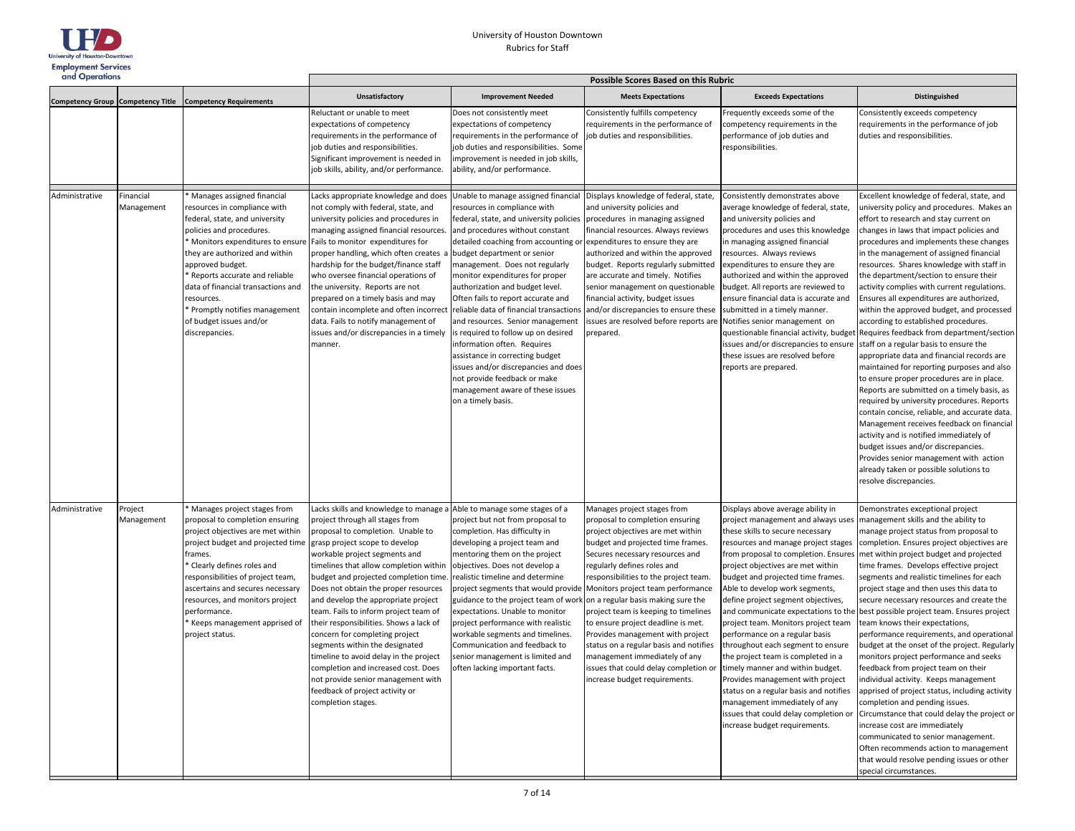

| and Operations |                         |                                                                                                                                                                                                                                                                                                                                                                                    | <b>Possible Scores Based on this Rubric</b>                                                                                                                                                                                                                                                                                                                                                                                                                                                                                                                                                                                                                                                                                 |                                                                                                                                                                                                                                                                                                                                                                                                                                                                                                                                                                                                                                                                                                  |                                                                                                                                                                                                                                                                                                                                                                                                                                                                                                                                                                 |                                                                                                                                                                                                                                                                                                                                                                                                                                                                                                                                                                                                                                                                                                                                                                      |                                                                                                                                                                                                                                                                                                                                                                                                                                                                                                                                                                                                                                                                                                                                                                                                                                                                                                                                                                                                                                                                                                                                                                        |  |
|----------------|-------------------------|------------------------------------------------------------------------------------------------------------------------------------------------------------------------------------------------------------------------------------------------------------------------------------------------------------------------------------------------------------------------------------|-----------------------------------------------------------------------------------------------------------------------------------------------------------------------------------------------------------------------------------------------------------------------------------------------------------------------------------------------------------------------------------------------------------------------------------------------------------------------------------------------------------------------------------------------------------------------------------------------------------------------------------------------------------------------------------------------------------------------------|--------------------------------------------------------------------------------------------------------------------------------------------------------------------------------------------------------------------------------------------------------------------------------------------------------------------------------------------------------------------------------------------------------------------------------------------------------------------------------------------------------------------------------------------------------------------------------------------------------------------------------------------------------------------------------------------------|-----------------------------------------------------------------------------------------------------------------------------------------------------------------------------------------------------------------------------------------------------------------------------------------------------------------------------------------------------------------------------------------------------------------------------------------------------------------------------------------------------------------------------------------------------------------|----------------------------------------------------------------------------------------------------------------------------------------------------------------------------------------------------------------------------------------------------------------------------------------------------------------------------------------------------------------------------------------------------------------------------------------------------------------------------------------------------------------------------------------------------------------------------------------------------------------------------------------------------------------------------------------------------------------------------------------------------------------------|------------------------------------------------------------------------------------------------------------------------------------------------------------------------------------------------------------------------------------------------------------------------------------------------------------------------------------------------------------------------------------------------------------------------------------------------------------------------------------------------------------------------------------------------------------------------------------------------------------------------------------------------------------------------------------------------------------------------------------------------------------------------------------------------------------------------------------------------------------------------------------------------------------------------------------------------------------------------------------------------------------------------------------------------------------------------------------------------------------------------------------------------------------------------|--|
|                |                         | Competency Group Competency Title Competency Requirements                                                                                                                                                                                                                                                                                                                          | <b>Unsatisfactory</b>                                                                                                                                                                                                                                                                                                                                                                                                                                                                                                                                                                                                                                                                                                       | <b>Improvement Needed</b>                                                                                                                                                                                                                                                                                                                                                                                                                                                                                                                                                                                                                                                                        | <b>Meets Expectations</b>                                                                                                                                                                                                                                                                                                                                                                                                                                                                                                                                       | <b>Exceeds Expectations</b>                                                                                                                                                                                                                                                                                                                                                                                                                                                                                                                                                                                                                                                                                                                                          | Distinguished                                                                                                                                                                                                                                                                                                                                                                                                                                                                                                                                                                                                                                                                                                                                                                                                                                                                                                                                                                                                                                                                                                                                                          |  |
|                |                         |                                                                                                                                                                                                                                                                                                                                                                                    | Reluctant or unable to meet<br>expectations of competency<br>requirements in the performance of<br>job duties and responsibilities.<br>Significant improvement is needed in<br>job skills, ability, and/or performance.                                                                                                                                                                                                                                                                                                                                                                                                                                                                                                     | Does not consistently meet<br>expectations of competency<br>requirements in the performance of<br>job duties and responsibilities. Some<br>improvement is needed in job skills,<br>ability, and/or performance.                                                                                                                                                                                                                                                                                                                                                                                                                                                                                  | Consistently fulfills competency<br>requirements in the performance of<br>job duties and responsibilities.                                                                                                                                                                                                                                                                                                                                                                                                                                                      | Frequently exceeds some of the<br>competency requirements in the<br>performance of job duties and<br>responsibilities.                                                                                                                                                                                                                                                                                                                                                                                                                                                                                                                                                                                                                                               | Consistently exceeds competency<br>requirements in the performance of job<br>duties and responsibilities.                                                                                                                                                                                                                                                                                                                                                                                                                                                                                                                                                                                                                                                                                                                                                                                                                                                                                                                                                                                                                                                              |  |
| Administrative | Financial<br>Management | Manages assigned financial<br>resources in compliance with<br>federal, state, and university<br>policies and procedures.<br>Monitors expenditures to ensure<br>they are authorized and within<br>approved budget.<br>Reports accurate and reliable<br>data of financial transactions and<br>esources.<br>Promptly notifies management<br>of budget issues and/or<br>discrepancies. | Lacks appropriate knowledge and does<br>not comply with federal, state, and<br>university policies and procedures in<br>managing assigned financial resources.<br>Fails to monitor expenditures for<br>proper handling, which often creates a<br>hardship for the budget/finance staff<br>who oversee financial operations of<br>the university. Reports are not<br>prepared on a timely basis and may<br>contain incomplete and often incorrect<br>data. Fails to notify management of<br>issues and/or discrepancies in a timely<br>manner.                                                                                                                                                                               | Unable to manage assigned financial<br>resources in compliance with<br>federal, state, and university policies<br>and procedures without constant<br>detailed coaching from accounting or<br>budget department or senior<br>management. Does not regularly<br>monitor expenditures for proper<br>authorization and budget level.<br>Often fails to report accurate and<br>reliable data of financial transactions<br>and resources. Senior management<br>is required to follow up on desired<br>information often. Requires<br>assistance in correcting budget<br>issues and/or discrepancies and does<br>not provide feedback or make<br>management aware of these issues<br>on a timely basis. | Displays knowledge of federal, state,<br>and university policies and<br>procedures in managing assigned<br>financial resources. Always reviews<br>expenditures to ensure they are<br>authorized and within the approved<br>budget. Reports regularly submitted<br>are accurate and timely. Notifies<br>senior management on questionable<br>financial activity, budget issues<br>and/or discrepancies to ensure these<br>issues are resolved before reports are Notifies senior management on<br>prepared.                                                      | Consistently demonstrates above<br>average knowledge of federal, state,<br>and university policies and<br>procedures and uses this knowledge<br>in managing assigned financial<br>resources. Always reviews<br>expenditures to ensure they are<br>authorized and within the approved<br>budget. All reports are reviewed to<br>ensure financial data is accurate and<br>submitted in a timely manner.<br>questionable financial activity, budget<br>issues and/or discrepancies to ensure<br>these issues are resolved before<br>reports are prepared.                                                                                                                                                                                                               | Excellent knowledge of federal, state, and<br>university policy and procedures. Makes an<br>effort to research and stay current on<br>changes in laws that impact policies and<br>procedures and implements these changes<br>in the management of assigned financial<br>resources. Shares knowledge with staff in<br>the department/section to ensure their<br>activity complies with current regulations.<br>Ensures all expenditures are authorized,<br>within the approved budget, and processed<br>according to established procedures.<br>Requires feedback from department/section<br>staff on a regular basis to ensure the<br>appropriate data and financial records are<br>maintained for reporting purposes and also<br>to ensure proper procedures are in place.<br>Reports are submitted on a timely basis, as<br>required by university procedures. Reports<br>contain concise, reliable, and accurate data.<br>Management receives feedback on financial<br>activity and is notified immediately of<br>budget issues and/or discrepancies.<br>Provides senior management with action<br>already taken or possible solutions to<br>resolve discrepancies. |  |
| Administrative | Project<br>Management   | Manages project stages from<br>proposal to completion ensuring<br>project objectives are met within<br>project budget and projected time<br>frames.<br>Clearly defines roles and<br>esponsibilities of project team,<br>ascertains and secures necessary<br>esources, and monitors project<br>performance.<br>Keeps management apprised of<br>project status.                      | Lacks skills and knowledge to manage a Able to manage some stages of a<br>project through all stages from<br>proposal to completion. Unable to<br>grasp project scope to develop<br>workable project segments and<br>timelines that allow completion within<br>budget and projected completion time.<br>Does not obtain the proper resources<br>and develop the appropriate project<br>team. Fails to inform project team of<br>their responsibilities. Shows a lack of<br>concern for completing project<br>segments within the designated<br>timeline to avoid delay in the project<br>completion and increased cost. Does<br>not provide senior management with<br>feedback of project activity or<br>completion stages. | project but not from proposal to<br>completion. Has difficulty in<br>developing a project team and<br>mentoring them on the project<br>objectives. Does not develop a<br>realistic timeline and determine<br>project segments that would provide Monitors project team performance<br>guidance to the project team of work<br>expectations. Unable to monitor<br>project performance with realistic<br>workable segments and timelines.<br>Communication and feedback to<br>senior management is limited and<br>often lacking important facts.                                                                                                                                                   | Manages project stages from<br>proposal to completion ensuring<br>project objectives are met within<br>budget and projected time frames.<br>Secures necessary resources and<br>regularly defines roles and<br>responsibilities to the project team.<br>on a regular basis making sure the<br>project team is keeping to timelines<br>to ensure project deadline is met.<br>Provides management with project<br>status on a regular basis and notifies<br>management immediately of any<br>issues that could delay completion or<br>ncrease budget requirements. | Displays above average ability in<br>project management and always uses<br>these skills to secure necessary<br>resources and manage project stages<br>from proposal to completion. Ensures<br>project objectives are met within<br>budget and projected time frames.<br>Able to develop work segments,<br>define project segment objectives,<br>and communicate expectations to the<br>project team. Monitors project team<br>performance on a regular basis<br>throughout each segment to ensure<br>the project team is completed in a<br>timely manner and within budget.<br>Provides management with project<br>status on a regular basis and notifies<br>management immediately of any<br>issues that could delay completion or<br>increase budget requirements. | Demonstrates exceptional project<br>management skills and the ability to<br>manage project status from proposal to<br>completion. Ensures project objectives are<br>met within project budget and projected<br>time frames. Develops effective project<br>segments and realistic timelines for each<br>project stage and then uses this data to<br>secure necessary resources and create the<br>best possible project team. Ensures project<br>team knows their expectations,<br>performance requirements, and operational<br>budget at the onset of the project. Regularly<br>monitors project performance and seeks<br>feedback from project team on their<br>individual activity. Keeps management<br>apprised of project status, including activity<br>completion and pending issues.<br>Circumstance that could delay the project or<br>increase cost are immediately<br>communicated to senior management.<br>Often recommends action to management<br>that would resolve pending issues or other<br>special circumstances.                                                                                                                                      |  |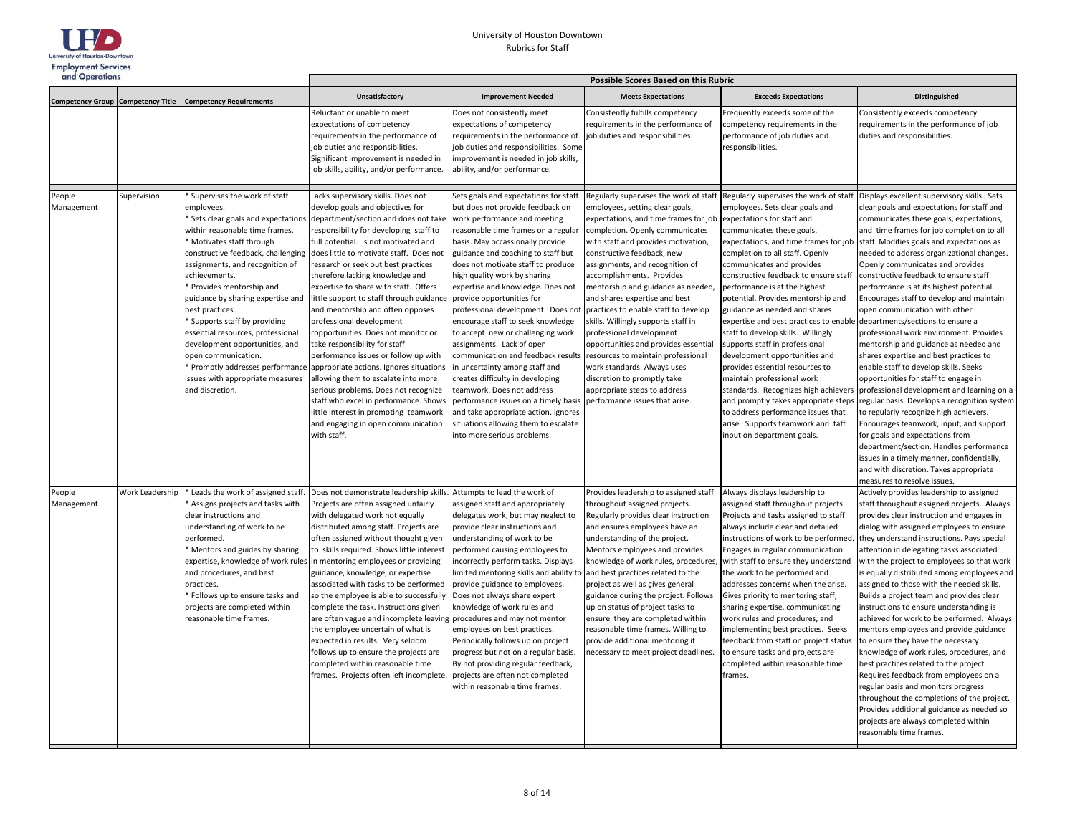

| and Operations                           |                 |                                                                                                                                                                                                                                                                                                                                                                                                                                                                                                                  | <b>Possible Scores Based on this Rubric</b>                                                                                                                                                                                                                                                                                                                                                                                                                                                                                                                                                                                                                                                                                                                                                                                                                                                     |                                                                                                                                                                                                                                                                                                                                                                                                                                                                                                                                                                                                                                                                                                                                                                                                                                                       |                                                                                                                                                                                                                                                                                                                                                                                                                                                                                                                                                                                                                                                                               |                                                                                                                                                                                                                                                                                                                                                                                                                                                                                                                                                                                                                                                                                                                                      |                                                                                                                                                                                                                                                                                                                                                                                                                                                                                                                                                                                                                                                                                                                                                                                                                                                                                                                                                                                                                                                                                                                                                                    |  |  |
|------------------------------------------|-----------------|------------------------------------------------------------------------------------------------------------------------------------------------------------------------------------------------------------------------------------------------------------------------------------------------------------------------------------------------------------------------------------------------------------------------------------------------------------------------------------------------------------------|-------------------------------------------------------------------------------------------------------------------------------------------------------------------------------------------------------------------------------------------------------------------------------------------------------------------------------------------------------------------------------------------------------------------------------------------------------------------------------------------------------------------------------------------------------------------------------------------------------------------------------------------------------------------------------------------------------------------------------------------------------------------------------------------------------------------------------------------------------------------------------------------------|-------------------------------------------------------------------------------------------------------------------------------------------------------------------------------------------------------------------------------------------------------------------------------------------------------------------------------------------------------------------------------------------------------------------------------------------------------------------------------------------------------------------------------------------------------------------------------------------------------------------------------------------------------------------------------------------------------------------------------------------------------------------------------------------------------------------------------------------------------|-------------------------------------------------------------------------------------------------------------------------------------------------------------------------------------------------------------------------------------------------------------------------------------------------------------------------------------------------------------------------------------------------------------------------------------------------------------------------------------------------------------------------------------------------------------------------------------------------------------------------------------------------------------------------------|--------------------------------------------------------------------------------------------------------------------------------------------------------------------------------------------------------------------------------------------------------------------------------------------------------------------------------------------------------------------------------------------------------------------------------------------------------------------------------------------------------------------------------------------------------------------------------------------------------------------------------------------------------------------------------------------------------------------------------------|--------------------------------------------------------------------------------------------------------------------------------------------------------------------------------------------------------------------------------------------------------------------------------------------------------------------------------------------------------------------------------------------------------------------------------------------------------------------------------------------------------------------------------------------------------------------------------------------------------------------------------------------------------------------------------------------------------------------------------------------------------------------------------------------------------------------------------------------------------------------------------------------------------------------------------------------------------------------------------------------------------------------------------------------------------------------------------------------------------------------------------------------------------------------|--|--|
| <b>Competency Group Competency Title</b> |                 | <b>Competency Requirements</b>                                                                                                                                                                                                                                                                                                                                                                                                                                                                                   | Unsatisfactory                                                                                                                                                                                                                                                                                                                                                                                                                                                                                                                                                                                                                                                                                                                                                                                                                                                                                  | <b>Improvement Needed</b>                                                                                                                                                                                                                                                                                                                                                                                                                                                                                                                                                                                                                                                                                                                                                                                                                             | <b>Meets Expectations</b>                                                                                                                                                                                                                                                                                                                                                                                                                                                                                                                                                                                                                                                     | <b>Exceeds Expectations</b>                                                                                                                                                                                                                                                                                                                                                                                                                                                                                                                                                                                                                                                                                                          | <b>Distinguished</b>                                                                                                                                                                                                                                                                                                                                                                                                                                                                                                                                                                                                                                                                                                                                                                                                                                                                                                                                                                                                                                                                                                                                               |  |  |
|                                          |                 |                                                                                                                                                                                                                                                                                                                                                                                                                                                                                                                  | Reluctant or unable to meet<br>expectations of competency<br>requirements in the performance of<br>job duties and responsibilities.<br>Significant improvement is needed in<br>job skills, ability, and/or performance.                                                                                                                                                                                                                                                                                                                                                                                                                                                                                                                                                                                                                                                                         | Does not consistently meet<br>expectations of competency<br>requirements in the performance of<br>job duties and responsibilities. Some<br>mprovement is needed in job skills,<br>ability, and/or performance.                                                                                                                                                                                                                                                                                                                                                                                                                                                                                                                                                                                                                                        | Consistently fulfills competency<br>requirements in the performance of<br>job duties and responsibilities.                                                                                                                                                                                                                                                                                                                                                                                                                                                                                                                                                                    | Frequently exceeds some of the<br>competency requirements in the<br>performance of job duties and<br>responsibilities.                                                                                                                                                                                                                                                                                                                                                                                                                                                                                                                                                                                                               | Consistently exceeds competency<br>requirements in the performance of job<br>duties and responsibilities.                                                                                                                                                                                                                                                                                                                                                                                                                                                                                                                                                                                                                                                                                                                                                                                                                                                                                                                                                                                                                                                          |  |  |
| People<br>Management                     | Supervision     | Supervises the work of staff<br>employees.<br>within reasonable time frames.<br>* Motivates staff through<br>constructive feedback, challenging<br>assignments, and recognition of<br>achievements.<br>* Provides mentorship and<br>guidance by sharing expertise and<br>best practices.<br>* Supports staff by providing<br>essential resources, professional<br>development opportunities, and<br>open communication.<br>Promptly addresses performance<br>issues with appropriate measures<br>and discretion. | Lacks supervisory skills. Does not<br>develop goals and objectives for<br>* Sets clear goals and expectations department/section and does not take<br>responsibility for developing staff to<br>full potential. Is not motivated and<br>does little to motivate staff. Does not<br>research or seek out best practices<br>therefore lacking knowledge and<br>expertise to share with staff. Offers<br>little support to staff through guidance<br>and mentorship and often opposes<br>professional development<br>ropportunities. Does not monitor or<br>take responsibility for staff<br>performance issues or follow up with<br>appropriate actions. Ignores situations<br>allowing them to escalate into more<br>serious problems. Does not recognize<br>staff who excel in performance. Shows<br>little interest in promoting teamwork<br>and engaging in open communication<br>with staff. | Sets goals and expectations for staff<br>but does not provide feedback on<br>work performance and meeting<br>reasonable time frames on a regular<br>basis. May occassionally provide<br>guidance and coaching to staff but<br>does not motivate staff to produce<br>high quality work by sharing<br>expertise and knowledge. Does not<br>provide opportunities for<br>professional development. Does not practices to enable staff to develop<br>encourage staff to seek knowledge<br>to accept new or challenging work<br>assignments. Lack of open<br>communication and feedback results<br>in uncertainty among staff and<br>creates difficulty in developing<br>teamwork. Does not address<br>performance issues on a timely basis<br>and take appropriate action. Ignores<br>situations allowing them to escalate<br>into more serious problems. | Regularly supervises the work of staff<br>employees, setting clear goals,<br>expectations, and time frames for job expectations for staff and<br>completion. Openly communicates<br>with staff and provides motivation,<br>constructive feedback, new<br>assignments, and recognition of<br>accomplishments. Provides<br>mentorship and guidance as needed,<br>and shares expertise and best<br>skills. Willingly supports staff in<br>professional development<br>opportunities and provides essential<br>resources to maintain professional<br>work standards. Always uses<br>discretion to promptly take<br>appropriate steps to address<br>performance issues that arise. | Regularly supervises the work of staff<br>employees. Sets clear goals and<br>communicates these goals,<br>completion to all staff. Openly<br>communicates and provides<br>constructive feedback to ensure staff<br>performance is at the highest<br>potential. Provides mentorship and<br>guidance as needed and shares<br>expertise and best practices to enable<br>staff to develop skills. Willingly<br>supports staff in professional<br>development opportunities and<br>provides essential resources to<br>maintain professional work<br>standards. Recognizes high achievers<br>and promptly takes appropriate steps<br>to address performance issues that<br>arise. Supports teamwork and taff<br>input on department goals. | Displays excellent supervisory skills. Sets<br>clear goals and expectations for staff and<br>communicates these goals, expectations,<br>and time frames for job completion to all<br>expectations, and time frames for job staff. Modifies goals and expectations as<br>needed to address organizational changes.<br>Openly communicates and provides<br>constructive feedback to ensure staff<br>performance is at its highest potential.<br>Encourages staff to develop and maintain<br>open communication with other<br>departments/sections to ensure a<br>professional work environment. Provides<br>mentorship and guidance as needed and<br>shares expertise and best practices to<br>enable staff to develop skills. Seeks<br>opportunities for staff to engage in<br>professional development and learning on a<br>regular basis. Develops a recognition system<br>to regularly recognize high achievers.<br>Encourages teamwork, input, and support<br>for goals and expectations from<br>department/section. Handles performance<br>issues in a timely manner, confidentially,<br>and with discretion. Takes appropriate<br>measures to resolve issues. |  |  |
| People<br>Management                     | Work Leadership | Leads the work of assigned staff.<br>Assigns projects and tasks with<br>clear instructions and<br>understanding of work to be<br>performed.<br>* Mentors and guides by sharing<br>expertise, knowledge of work rules<br>and procedures, and best<br>practices.<br>* Follows up to ensure tasks and<br>projects are completed within<br>reasonable time frames.                                                                                                                                                   | Does not demonstrate leadership skills.<br>Projects are often assigned unfairly<br>with delegated work not equally<br>distributed among staff. Projects are<br>often assigned without thought given<br>to skills required. Shows little interest<br>n mentoring employees or providing<br>guidance, knowledge, or expertise<br>associated with tasks to be performed<br>so the employee is able to successfully<br>complete the task. Instructions given<br>are often vague and incomplete leaving procedures and may not mentor<br>the employee uncertain of what is<br>expected in results. Very seldom<br>follows up to ensure the projects are<br>completed within reasonable time<br>frames. Projects often left incomplete.                                                                                                                                                               | Attempts to lead the work of<br>assigned staff and appropriately<br>delegates work, but may neglect to<br>provide clear instructions and<br>understanding of work to be<br>performed causing employees to<br>incorrectly perform tasks. Displays<br>limited mentoring skills and ability to and best practices related to the<br>provide guidance to employees.<br>Does not always share expert<br>knowledge of work rules and<br>employees on best practices.<br>Periodically follows up on project<br>progress but not on a regular basis.<br>By not providing regular feedback,<br>projects are often not completed<br>within reasonable time frames.                                                                                                                                                                                              | Provides leadership to assigned staff<br>throughout assigned projects.<br>Regularly provides clear instruction<br>and ensures employees have an<br>understanding of the project.<br>Mentors employees and provides<br>knowledge of work rules, procedures<br>project as well as gives general<br>guidance during the project. Follows<br>up on status of project tasks to<br>ensure they are completed within<br>reasonable time frames. Willing to<br>provide additional mentoring if<br>necessary to meet project deadlines.                                                                                                                                                | Always displays leadership to<br>assigned staff throughout projects.<br>Projects and tasks assigned to staff<br>always include clear and detailed<br>instructions of work to be performed.<br>Engages in regular communication<br>with staff to ensure they understand<br>the work to be performed and<br>addresses concerns when the arise.<br>Gives priority to mentoring staff,<br>sharing expertise, communicating<br>work rules and procedures, and<br>implementing best practices. Seeks<br>feedback from staff on project status<br>to ensure tasks and projects are<br>completed within reasonable time<br>frames.                                                                                                           | Actively provides leadership to assigned<br>staff throughout assigned projects. Always<br>provides clear instruction and engages in<br>dialog with assigned employees to ensure<br>they understand instructions. Pays special<br>attention in delegating tasks associated<br>with the project to employees so that work<br>is equally distributed among employees and<br>assigned to those with the needed skills.<br>Builds a project team and provides clear<br>instructions to ensure understanding is<br>achieved for work to be performed. Always<br>mentors employees and provide guidance<br>to ensure they have the necessary<br>knowledge of work rules, procedures, and<br>best practices related to the project.<br>Requires feedback from employees on a<br>regular basis and monitors progress<br>throughout the completions of the project.<br>Provides additional guidance as needed so<br>projects are always completed within<br>reasonable time frames.                                                                                                                                                                                          |  |  |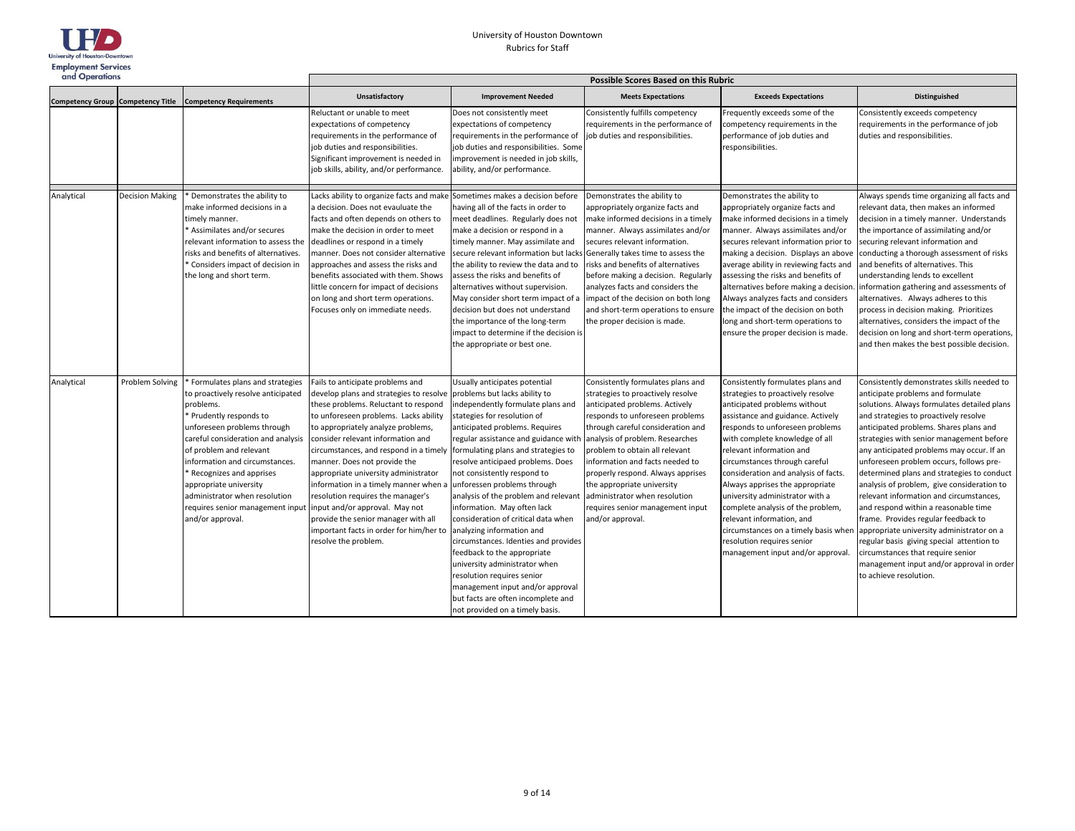

| and Operations                           |                        |                                                                                                                                                                                                                                                                                                                                                                                             | <b>Possible Scores Based on this Rubric</b>                                                                                                                                                                                                                                                                                                                                                                                                                                                                                                                                        |                                                                                                                                                                                                                                                                                                                                                                                                                                                                                                                                                                                                                                                                                                                                                      |                                                                                                                                                                                                                                                                                                                                                                                                                                                      |                                                                                                                                                                                                                                                                                                                                                                                                                                                                                                                                                                          |                                                                                                                                                                                                                                                                                                                                                                                                                                                                                                                                                                                                                                                                                                                                                                                   |  |
|------------------------------------------|------------------------|---------------------------------------------------------------------------------------------------------------------------------------------------------------------------------------------------------------------------------------------------------------------------------------------------------------------------------------------------------------------------------------------|------------------------------------------------------------------------------------------------------------------------------------------------------------------------------------------------------------------------------------------------------------------------------------------------------------------------------------------------------------------------------------------------------------------------------------------------------------------------------------------------------------------------------------------------------------------------------------|------------------------------------------------------------------------------------------------------------------------------------------------------------------------------------------------------------------------------------------------------------------------------------------------------------------------------------------------------------------------------------------------------------------------------------------------------------------------------------------------------------------------------------------------------------------------------------------------------------------------------------------------------------------------------------------------------------------------------------------------------|------------------------------------------------------------------------------------------------------------------------------------------------------------------------------------------------------------------------------------------------------------------------------------------------------------------------------------------------------------------------------------------------------------------------------------------------------|--------------------------------------------------------------------------------------------------------------------------------------------------------------------------------------------------------------------------------------------------------------------------------------------------------------------------------------------------------------------------------------------------------------------------------------------------------------------------------------------------------------------------------------------------------------------------|-----------------------------------------------------------------------------------------------------------------------------------------------------------------------------------------------------------------------------------------------------------------------------------------------------------------------------------------------------------------------------------------------------------------------------------------------------------------------------------------------------------------------------------------------------------------------------------------------------------------------------------------------------------------------------------------------------------------------------------------------------------------------------------|--|
| <b>Competency Group Competency Title</b> |                        | <b>Competency Requirements</b>                                                                                                                                                                                                                                                                                                                                                              | <b>Unsatisfactory</b>                                                                                                                                                                                                                                                                                                                                                                                                                                                                                                                                                              | <b>Improvement Needed</b>                                                                                                                                                                                                                                                                                                                                                                                                                                                                                                                                                                                                                                                                                                                            | <b>Meets Expectations</b>                                                                                                                                                                                                                                                                                                                                                                                                                            | <b>Exceeds Expectations</b>                                                                                                                                                                                                                                                                                                                                                                                                                                                                                                                                              | <b>Distinguished</b>                                                                                                                                                                                                                                                                                                                                                                                                                                                                                                                                                                                                                                                                                                                                                              |  |
|                                          |                        |                                                                                                                                                                                                                                                                                                                                                                                             | Reluctant or unable to meet<br>expectations of competency<br>requirements in the performance of<br>job duties and responsibilities.<br>Significant improvement is needed in<br>job skills, ability, and/or performance.                                                                                                                                                                                                                                                                                                                                                            | Does not consistently meet<br>expectations of competency<br>requirements in the performance of<br>job duties and responsibilities. Some<br>improvement is needed in job skills,<br>ability, and/or performance.                                                                                                                                                                                                                                                                                                                                                                                                                                                                                                                                      | Consistently fulfills competency<br>requirements in the performance of<br>job duties and responsibilities.                                                                                                                                                                                                                                                                                                                                           | Frequently exceeds some of the<br>competency requirements in the<br>performance of job duties and<br>responsibilities.                                                                                                                                                                                                                                                                                                                                                                                                                                                   | Consistently exceeds competency<br>requirements in the performance of job<br>duties and responsibilities.                                                                                                                                                                                                                                                                                                                                                                                                                                                                                                                                                                                                                                                                         |  |
| Analytical                               | <b>Decision Making</b> | Demonstrates the ability to<br>make informed decisions in a<br>timely manner.<br>Assimilates and/or secures<br>relevant information to assess the<br>risks and benefits of alternatives.<br>Considers impact of decision in<br>the long and short term.                                                                                                                                     | Lacks ability to organize facts and make Sometimes makes a decision before<br>a decision. Does not evauluate the<br>facts and often depends on others to<br>make the decision in order to meet<br>deadlines or respond in a timely<br>manner. Does not consider alternative<br>approaches and assess the risks and<br>benefits associated with them. Shows<br>little concern for impact of decisions<br>on long and short term operations.<br>Focuses only on immediate needs.                                                                                                     | having all of the facts in order to<br>meet deadlines. Regularly does not<br>make a decision or respond in a<br>timely manner. May assimilate and<br>secure relevant information but lacks<br>the ability to review the data and to<br>assess the risks and benefits of<br>alternatives without supervision.<br>May consider short term impact of a<br>decision but does not understand<br>the importance of the long-term<br>impact to determine if the decision is<br>the appropriate or best one.                                                                                                                                                                                                                                                 | Demonstrates the ability to<br>appropriately organize facts and<br>make informed decisions in a timely<br>manner. Always assimilates and/or<br>secures relevant information.<br>Generally takes time to assess the<br>risks and benefits of alternatives<br>before making a decision. Regularly<br>analyzes facts and considers the<br>impact of the decision on both long<br>and short-term operations to ensure<br>the proper decision is made.    | Demonstrates the ability to<br>appropriately organize facts and<br>make informed decisions in a timely<br>manner. Always assimilates and/or<br>secures relevant information prior to<br>making a decision. Displays an above<br>average ability in reviewing facts and<br>assessing the risks and benefits of<br>alternatives before making a decision<br>Always analyzes facts and considers<br>the impact of the decision on both<br>long and short-term operations to<br>ensure the proper decision is made.                                                          | Always spends time organizing all facts and<br>relevant data, then makes an informed<br>decision in a timely manner. Understands<br>the importance of assimilating and/or<br>securing relevant information and<br>conducting a thorough assessment of risks<br>and benefits of alternatives. This<br>understanding lends to excellent<br>information gathering and assessments of<br>alternatives. Always adheres to this<br>process in decision making. Prioritizes<br>alternatives, considers the impact of the<br>decision on long and short-term operations,<br>and then makes the best possible decision.                                                                                                                                                                    |  |
| Analytical                               | Problem Solving        | Formulates plans and strategies<br>to proactively resolve anticipated<br>problems.<br>Prudently responds to<br>unforeseen problems through<br>careful consideration and analysis<br>of problem and relevant<br>information and circumstances.<br>Recognizes and apprises<br>appropriate university<br>administrator when resolution<br>requires senior management input<br>and/or approval. | Fails to anticipate problems and<br>develop plans and strategies to resolve<br>these problems. Reluctant to respond<br>to unforeseen problems. Lacks ability<br>to appropriately analyze problems,<br>consider relevant information and<br>circumstances, and respond in a timely<br>manner. Does not provide the<br>appropriate university administrator<br>information in a timely manner when a<br>resolution requires the manager's<br>input and/or approval. May not<br>provide the senior manager with all<br>mportant facts in order for him/her to<br>resolve the problem. | Usually anticipates potential<br>problems but lacks ability to<br>independently formulate plans and<br>stategies for resolution of<br>anticipated problems. Requires<br>regular assistance and guidance with<br>formulating plans and strategies to<br>resolve anticipaed problems. Does<br>not consistently respond to<br>unforessen problems through<br>analysis of the problem and relevant<br>information. May often lack<br>consideration of critical data when<br>analyzing information and<br>circumstances. Identies and provides<br>feedback to the appropriate<br>university administrator when<br>resolution requires senior<br>management input and/or approval<br>but facts are often incomplete and<br>not provided on a timely basis. | Consistently formulates plans and<br>strategies to proactively resolve<br>anticipated problems. Actively<br>responds to unforeseen problems<br>through careful consideration and<br>analysis of problem. Researches<br>problem to obtain all relevant<br>information and facts needed to<br>properly respond. Always apprises<br>the appropriate university<br>administrator when resolution<br>requires senior management input<br>and/or approval. | Consistently formulates plans and<br>strategies to proactively resolve<br>anticipated problems without<br>assistance and guidance. Actively<br>responds to unforeseen problems<br>with complete knowledge of all<br>relevant information and<br>circumstances through careful<br>consideration and analysis of facts.<br>Always apprises the appropriate<br>university administrator with a<br>complete analysis of the problem,<br>relevant information, and<br>circumstances on a timely basis when<br>resolution requires senior<br>management input and/or approval. | Consistently demonstrates skills needed to<br>anticipate problems and formulate<br>solutions. Always formulates detailed plans<br>and strategies to proactively resolve<br>anticipated problems. Shares plans and<br>strategies with senior management before<br>any anticipated problems may occur. If an<br>unforeseen problem occurs, follows pre-<br>determined plans and strategies to conduct<br>analysis of problem, give consideration to<br>relevant information and circumstances,<br>and respond within a reasonable time<br>frame. Provides regular feedback to<br>appropriate university administrator on a<br>regular basis giving special attention to<br>circumstances that require senior<br>management input and/or approval in order<br>to achieve resolution. |  |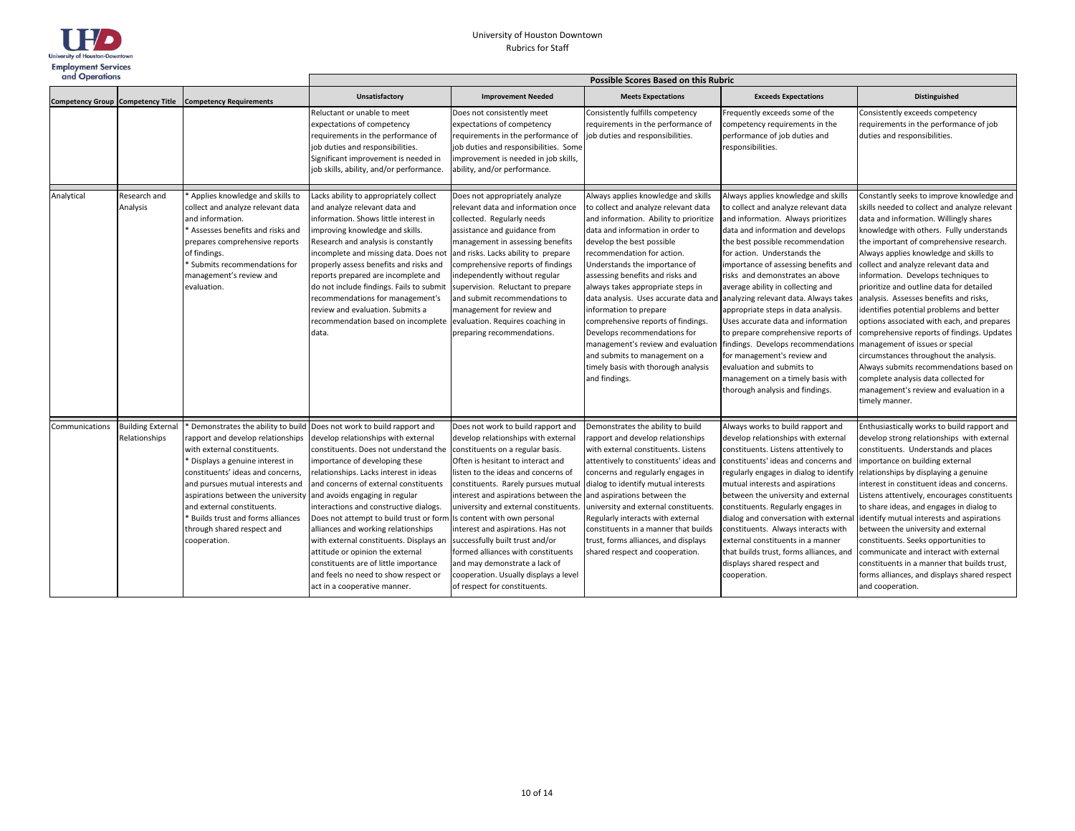

| and Operations                           |                                           |                                                                                                                                                                                                                                                                                                                                                                        | Possible Scores Based on this Rubric                                                                                                                                                                                                                                                                                                                                                                                                                                                                                                                                                                  |                                                                                                                                                                                                                                                                                                                                                                                                                                                                                                                                                                          |                                                                                                                                                                                                                                                                                                                                                                                                                                                                                                                                                                |                                                                                                                                                                                                                                                                                                                                                                                                                                                                                                                                                                                                                                                                                                                         |                                                                                                                                                                                                                                                                                                                                                                                                                                                                                                                                                                                                                                                                                                                                                                                                                   |  |
|------------------------------------------|-------------------------------------------|------------------------------------------------------------------------------------------------------------------------------------------------------------------------------------------------------------------------------------------------------------------------------------------------------------------------------------------------------------------------|-------------------------------------------------------------------------------------------------------------------------------------------------------------------------------------------------------------------------------------------------------------------------------------------------------------------------------------------------------------------------------------------------------------------------------------------------------------------------------------------------------------------------------------------------------------------------------------------------------|--------------------------------------------------------------------------------------------------------------------------------------------------------------------------------------------------------------------------------------------------------------------------------------------------------------------------------------------------------------------------------------------------------------------------------------------------------------------------------------------------------------------------------------------------------------------------|----------------------------------------------------------------------------------------------------------------------------------------------------------------------------------------------------------------------------------------------------------------------------------------------------------------------------------------------------------------------------------------------------------------------------------------------------------------------------------------------------------------------------------------------------------------|-------------------------------------------------------------------------------------------------------------------------------------------------------------------------------------------------------------------------------------------------------------------------------------------------------------------------------------------------------------------------------------------------------------------------------------------------------------------------------------------------------------------------------------------------------------------------------------------------------------------------------------------------------------------------------------------------------------------------|-------------------------------------------------------------------------------------------------------------------------------------------------------------------------------------------------------------------------------------------------------------------------------------------------------------------------------------------------------------------------------------------------------------------------------------------------------------------------------------------------------------------------------------------------------------------------------------------------------------------------------------------------------------------------------------------------------------------------------------------------------------------------------------------------------------------|--|
| <b>Competency Group Competency Title</b> |                                           | <b>Competency Requirements</b>                                                                                                                                                                                                                                                                                                                                         | <b>Unsatisfactory</b>                                                                                                                                                                                                                                                                                                                                                                                                                                                                                                                                                                                 | <b>Improvement Needed</b>                                                                                                                                                                                                                                                                                                                                                                                                                                                                                                                                                | <b>Meets Expectations</b>                                                                                                                                                                                                                                                                                                                                                                                                                                                                                                                                      | <b>Exceeds Expectations</b>                                                                                                                                                                                                                                                                                                                                                                                                                                                                                                                                                                                                                                                                                             | Distinguished                                                                                                                                                                                                                                                                                                                                                                                                                                                                                                                                                                                                                                                                                                                                                                                                     |  |
|                                          |                                           |                                                                                                                                                                                                                                                                                                                                                                        | Reluctant or unable to meet<br>expectations of competency<br>requirements in the performance of<br>job duties and responsibilities.<br>Significant improvement is needed in<br>job skills, ability, and/or performance.                                                                                                                                                                                                                                                                                                                                                                               | Does not consistently meet<br>expectations of competency<br>requirements in the performance of<br>job duties and responsibilities. Some<br>improvement is needed in job skills,<br>ability, and/or performance.                                                                                                                                                                                                                                                                                                                                                          | Consistently fulfills competency<br>requirements in the performance of<br>job duties and responsibilities.                                                                                                                                                                                                                                                                                                                                                                                                                                                     | Frequently exceeds some of the<br>competency requirements in the<br>performance of job duties and<br>responsibilities.                                                                                                                                                                                                                                                                                                                                                                                                                                                                                                                                                                                                  | Consistently exceeds competency<br>requirements in the performance of job<br>duties and responsibilities.                                                                                                                                                                                                                                                                                                                                                                                                                                                                                                                                                                                                                                                                                                         |  |
| Analytical                               | Research and<br>Analysis                  | Applies knowledge and skills to<br>collect and analyze relevant data<br>and information.<br>Assesses benefits and risks and<br>repares comprehensive reports<br>of findings.<br>Submits recommendations for<br>management's review and<br>evaluation.                                                                                                                  | Lacks ability to appropriately collect<br>and analyze relevant data and<br>nformation. Shows little interest in<br>improving knowledge and skills.<br>Research and analysis is constantly<br>incomplete and missing data. Does not<br>properly assess benefits and risks and<br>reports prepared are incomplete and<br>do not include findings. Fails to submit<br>recommendations for management's<br>review and evaluation. Submits a<br>recommendation based on incomplete evaluation. Requires coaching in<br>data.                                                                               | Does not appropriately analyze<br>relevant data and information once<br>collected. Regularly needs<br>assistance and guidance from<br>management in assessing benefits<br>and risks. Lacks ability to prepare<br>comprehensive reports of findings<br>independently without regular<br>supervision. Reluctant to prepare<br>and submit recommendations to<br>management for review and<br>preparing recommendations.                                                                                                                                                     | Always applies knowledge and skills<br>to collect and analyze relevant data<br>and information. Ability to prioritize<br>data and information in order to<br>develop the best possible<br>recommendation for action.<br>Understands the importance of<br>assessing benefits and risks and<br>always takes appropriate steps in<br>information to prepare<br>comprehensive reports of findings.<br>Develops recommendations for<br>management's review and evaluatior<br>and submits to management on a<br>timely basis with thorough analysis<br>and findings. | Always applies knowledge and skills<br>to collect and analyze relevant data<br>and information. Always prioritizes<br>data and information and develops<br>the best possible recommendation<br>for action. Understands the<br>importance of assessing benefits and<br>risks and demonstrates an above<br>average ability in collecting and<br>data analysis. Uses accurate data and analyzing relevant data. Always takes<br>appropriate steps in data analysis.<br>Uses accurate data and information<br>to prepare comprehensive reports of<br>findings. Develops recommendations<br>for management's review and<br>evaluation and submits to<br>management on a timely basis with<br>thorough analysis and findings. | Constantly seeks to improve knowledge and<br>skills needed to collect and analyze relevant<br>data and information. Willingly shares<br>knowledge with others. Fully understands<br>the important of comprehensive research.<br>Always applies knowledge and skills to<br>collect and analyze relevant data and<br>information. Develops techniques to<br>prioritize and outline data for detailed<br>analysis. Assesses benefits and risks,<br>identifies potential problems and better<br>options associated with each, and prepares<br>comprehensive reports of findings. Updates<br>management of issues or special<br>circumstances throughout the analysis.<br>Always submits recommendations based on<br>complete analysis data collected for<br>management's review and evaluation in a<br>timely manner. |  |
| Communications                           | <b>Building External</b><br>Relationships | Demonstrates the ability to build<br>rapport and develop relationships<br>with external constituents.<br>Displays a genuine interest in<br>constituents' ideas and concerns,<br>and pursues mutual interests and<br>aspirations between the university<br>and external constituents.<br>Builds trust and forms alliances<br>through shared respect and<br>cooperation. | Does not work to build rapport and<br>develop relationships with external<br>constituents. Does not understand the<br>importance of developing these<br>relationships. Lacks interest in ideas<br>and concerns of external constituents<br>and avoids engaging in regular<br>interactions and constructive dialogs.<br>Does not attempt to build trust or form<br>alliances and working relationships<br>with external constituents. Displays an<br>attitude or opinion the external<br>constituents are of little importance<br>and feels no need to show respect or<br>act in a cooperative manner. | Does not work to build rapport and<br>develop relationships with external<br>constituents on a regular basis.<br>Often is hesitant to interact and<br>listen to the ideas and concerns of<br>constituents. Rarely pursues mutua<br>interest and aspirations between the<br>university and external constituents.<br>Is content with own personal<br>interest and aspirations. Has not<br>successfully built trust and/or<br>formed alliances with constituents<br>and may demonstrate a lack of<br>cooperation. Usually displays a level<br>of respect for constituents. | Demonstrates the ability to build<br>rapport and develop relationships<br>with external constituents. Listens<br>attentively to constituents' ideas an<br>concerns and regularly engages in<br>dialog to identify mutual interests<br>and aspirations between the<br>university and external constituents<br>Regularly interacts with external<br>constituents in a manner that builds<br>trust, forms alliances, and displays<br>shared respect and cooperation.                                                                                              | Always works to build rapport and<br>develop relationships with external<br>constituents. Listens attentively to<br>constituents' ideas and concerns and<br>regularly engages in dialog to identify<br>mutual interests and aspirations<br>between the university and external<br>constituents. Regularly engages in<br>dialog and conversation with externa<br>constituents. Always interacts with<br>external constituents in a manner<br>that builds trust, forms alliances, and<br>displays shared respect and<br>cooperation.                                                                                                                                                                                      | Enthusiastically works to build rapport and<br>develop strong relationships with external<br>constituents. Understands and places<br>importance on building external<br>relationships by displaying a genuine<br>interest in constituent ideas and concerns.<br>Listens attentively, encourages constituents<br>to share ideas, and engages in dialog to<br>identify mutual interests and aspirations<br>between the university and external<br>constituents. Seeks opportunities to<br>communicate and interact with external<br>constituents in a manner that builds trust,<br>forms alliances, and displays shared respect<br>and cooperation.                                                                                                                                                                 |  |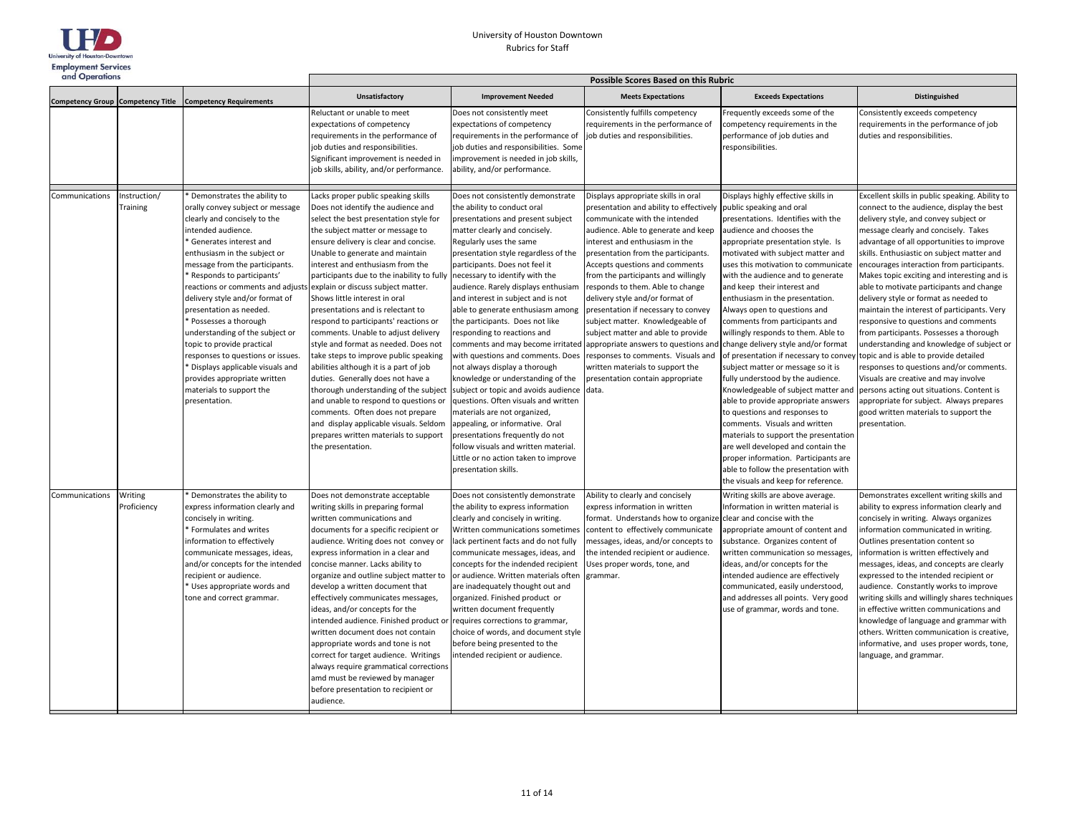

| and Operations |                         |                                                                                                                                                                                                                                                                                                                                                                                                                                                                                                                                                                                                            | <b>Possible Scores Based on this Rubric</b>                                                                                                                                                                                                                                                                                                                                                                                                                                                                                                                                                                                                                                                                                                                                                                                                                                                                                                    |                                                                                                                                                                                                                                                                                                                                                                                                                                                                                                                                                                                                                                                                                                                                                                                                                                          |                                                                                                                                                                                                                                                                                                                                                                                                                                                                                                                                                                                                                                                                                                                                       |                                                                                                                                                                                                                                                                                                                                                                                                                                                                                                                                                                                                                                                                                                                                                                                                                                                                                                                                                |                                                                                                                                                                                                                                                                                                                                                                                                                                                                                                                                                                                                                                                                                                                                                                                                                                                                                                                         |  |
|----------------|-------------------------|------------------------------------------------------------------------------------------------------------------------------------------------------------------------------------------------------------------------------------------------------------------------------------------------------------------------------------------------------------------------------------------------------------------------------------------------------------------------------------------------------------------------------------------------------------------------------------------------------------|------------------------------------------------------------------------------------------------------------------------------------------------------------------------------------------------------------------------------------------------------------------------------------------------------------------------------------------------------------------------------------------------------------------------------------------------------------------------------------------------------------------------------------------------------------------------------------------------------------------------------------------------------------------------------------------------------------------------------------------------------------------------------------------------------------------------------------------------------------------------------------------------------------------------------------------------|------------------------------------------------------------------------------------------------------------------------------------------------------------------------------------------------------------------------------------------------------------------------------------------------------------------------------------------------------------------------------------------------------------------------------------------------------------------------------------------------------------------------------------------------------------------------------------------------------------------------------------------------------------------------------------------------------------------------------------------------------------------------------------------------------------------------------------------|---------------------------------------------------------------------------------------------------------------------------------------------------------------------------------------------------------------------------------------------------------------------------------------------------------------------------------------------------------------------------------------------------------------------------------------------------------------------------------------------------------------------------------------------------------------------------------------------------------------------------------------------------------------------------------------------------------------------------------------|------------------------------------------------------------------------------------------------------------------------------------------------------------------------------------------------------------------------------------------------------------------------------------------------------------------------------------------------------------------------------------------------------------------------------------------------------------------------------------------------------------------------------------------------------------------------------------------------------------------------------------------------------------------------------------------------------------------------------------------------------------------------------------------------------------------------------------------------------------------------------------------------------------------------------------------------|-------------------------------------------------------------------------------------------------------------------------------------------------------------------------------------------------------------------------------------------------------------------------------------------------------------------------------------------------------------------------------------------------------------------------------------------------------------------------------------------------------------------------------------------------------------------------------------------------------------------------------------------------------------------------------------------------------------------------------------------------------------------------------------------------------------------------------------------------------------------------------------------------------------------------|--|
|                |                         | Competency Group Competency Title Competency Requirements                                                                                                                                                                                                                                                                                                                                                                                                                                                                                                                                                  | Unsatisfactory                                                                                                                                                                                                                                                                                                                                                                                                                                                                                                                                                                                                                                                                                                                                                                                                                                                                                                                                 | <b>Improvement Needed</b>                                                                                                                                                                                                                                                                                                                                                                                                                                                                                                                                                                                                                                                                                                                                                                                                                | <b>Meets Expectations</b>                                                                                                                                                                                                                                                                                                                                                                                                                                                                                                                                                                                                                                                                                                             | <b>Exceeds Expectations</b>                                                                                                                                                                                                                                                                                                                                                                                                                                                                                                                                                                                                                                                                                                                                                                                                                                                                                                                    | <b>Distinguished</b>                                                                                                                                                                                                                                                                                                                                                                                                                                                                                                                                                                                                                                                                                                                                                                                                                                                                                                    |  |
|                |                         |                                                                                                                                                                                                                                                                                                                                                                                                                                                                                                                                                                                                            | Reluctant or unable to meet<br>expectations of competency<br>requirements in the performance of<br>job duties and responsibilities.<br>Significant improvement is needed in<br>job skills, ability, and/or performance.                                                                                                                                                                                                                                                                                                                                                                                                                                                                                                                                                                                                                                                                                                                        | Does not consistently meet<br>expectations of competency<br>requirements in the performance of<br>job duties and responsibilities. Some<br>improvement is needed in job skills,<br>ability, and/or performance.                                                                                                                                                                                                                                                                                                                                                                                                                                                                                                                                                                                                                          | Consistently fulfills competency<br>requirements in the performance of<br>job duties and responsibilities.                                                                                                                                                                                                                                                                                                                                                                                                                                                                                                                                                                                                                            | Frequently exceeds some of the<br>competency requirements in the<br>performance of job duties and<br>responsibilities.                                                                                                                                                                                                                                                                                                                                                                                                                                                                                                                                                                                                                                                                                                                                                                                                                         | Consistently exceeds competency<br>requirements in the performance of job<br>duties and responsibilities.                                                                                                                                                                                                                                                                                                                                                                                                                                                                                                                                                                                                                                                                                                                                                                                                               |  |
| Communications | nstruction/<br>Training | Demonstrates the ability to<br>orally convey subject or message<br>clearly and concisely to the<br>intended audience.<br>Generates interest and<br>enthusiasm in the subject or<br>message from the participants.<br>Responds to participants'<br>eactions or comments and adjusts<br>delivery style and/or format of<br>presentation as needed.<br>Possesses a thorough<br>understanding of the subject or<br>topic to provide practical<br>esponses to questions or issues.<br><sup>*</sup> Displays applicable visuals and<br>provides appropriate written<br>materials to support the<br>presentation. | Lacks proper public speaking skills<br>Does not identify the audience and<br>select the best presentation style for<br>the subject matter or message to<br>ensure delivery is clear and concise.<br>Unable to generate and maintain<br>interest and enthusiasm from the<br>participants due to the inability to fully necessary to identify with the<br>explain or discuss subject matter.<br>Shows little interest in oral<br>presentations and is relectant to<br>respond to participants' reactions or<br>comments. Unable to adjust delivery<br>style and format as needed. Does not<br>take steps to improve public speaking<br>abilities although it is a part of job<br>duties. Generally does not have a<br>thorough understanding of the subject<br>and unable to respond to questions or<br>comments. Often does not prepare<br>and display applicable visuals. Seldom<br>prepares written materials to support<br>the presentation. | Does not consistently demonstrate<br>the ability to conduct oral<br>presentations and present subject<br>matter clearly and concisely.<br>Regularly uses the same<br>presentation style regardless of the<br>participants. Does not feel it<br>audience. Rarely displays enthusiam<br>and interest in subject and is not<br>able to generate enthusiasm among<br>the participants. Does not like<br>responding to reactions and<br>with questions and comments. Does<br>not always display a thorough<br>knowledge or understanding of the<br>subject or topic and avoids audience<br>questions. Often visuals and written<br>materials are not organized,<br>appealing, or informative. Oral<br>presentations frequently do not<br>follow visuals and written material.<br>Little or no action taken to improve<br>presentation skills. | Displays appropriate skills in oral<br>presentation and ability to effectively<br>communicate with the intended<br>audience. Able to generate and keep<br>interest and enthusiasm in the<br>presentation from the participants.<br>Accepts questions and comments<br>from the participants and willingly<br>responds to them. Able to change<br>delivery style and/or format of<br>presentation if necessary to convey<br>subject matter. Knowledgeable of<br>subject matter and able to provide<br>comments and may become irritated appropriate answers to questions and change delivery style and/or format<br>responses to comments. Visuals and<br>written materials to support the<br>presentation contain appropriate<br>data. | Displays highly effective skills in<br>public speaking and oral<br>presentations. Identifies with the<br>audience and chooses the<br>appropriate presentation style. Is<br>motivated with subject matter and<br>uses this motivation to communicate<br>with the audience and to generate<br>and keep their interest and<br>enthusiasm in the presentation.<br>Always open to questions and<br>comments from participants and<br>willingly responds to them. Able to<br>of presentation if necessary to convey<br>subject matter or message so it is<br>fully understood by the audience.<br>Knowledgeable of subject matter and<br>able to provide appropriate answers<br>to questions and responses to<br>comments. Visuals and written<br>materials to support the presentation<br>are well developed and contain the<br>proper information. Participants are<br>able to follow the presentation with<br>the visuals and keep for reference. | Excellent skills in public speaking. Ability to<br>connect to the audience, display the best<br>delivery style, and convey subject or<br>message clearly and concisely. Takes<br>advantage of all opportunities to improve<br>skills. Enthusiastic on subject matter and<br>encourages interaction from participants.<br>Makes topic exciting and interesting and is<br>able to motivate participants and change<br>delivery style or format as needed to<br>maintain the interest of participants. Very<br>responsive to questions and comments<br>from participants. Possesses a thorough<br>understanding and knowledge of subject or<br>topic and is able to provide detailed<br>responses to questions and/or comments.<br>Visuals are creative and may involve<br>persons acting out situations. Content is<br>appropriate for subject. Always prepares<br>good written materials to support the<br>presentation. |  |
| Communications | Writing<br>Proficiency  | Demonstrates the ability to<br>express information clearly and<br>concisely in writing.<br><sup>*</sup> Formulates and writes<br>information to effectively<br>communicate messages, ideas,<br>and/or concepts for the intended<br>ecipient or audience.<br>Uses appropriate words and<br>tone and correct grammar.                                                                                                                                                                                                                                                                                        | Does not demonstrate acceptable<br>writing skills in preparing formal<br>written communications and<br>documents for a specific recipient or<br>audience. Writing does not convey or<br>express information in a clear and<br>concise manner. Lacks ability to<br>organize and outline subject matter to<br>develop a written document that<br>effectively communicates messages,<br>ideas, and/or concepts for the<br>intended audience. Finished product or requires corrections to grammar,<br>written document does not contain<br>appropriate words and tone is not<br>correct for target audience. Writings<br>always require grammatical corrections<br>amd must be reviewed by manager<br>before presentation to recipient or<br>audience.                                                                                                                                                                                             | Does not consistently demonstrate<br>the ability to express information<br>clearly and concisely in writing.<br>Written communications sometimes<br>lack pertinent facts and do not fully<br>communicate messages, ideas, and<br>concepts for the indended recipient<br>or audience. Written materials often<br>are inadequately thought out and<br>organized. Finished product or<br>written document frequently<br>choice of words, and document style<br>before being presented to the<br>intended recipient or audience.                                                                                                                                                                                                                                                                                                             | Ability to clearly and concisely<br>express information in written<br>format. Understands how to organize clear and concise with the<br>content to effectively communicate<br>messages, ideas, and/or concepts to<br>the intended recipient or audience.<br>Uses proper words, tone, and<br>grammar.                                                                                                                                                                                                                                                                                                                                                                                                                                  | Writing skills are above average.<br>Information in written material is<br>appropriate amount of content and<br>substance. Organizes content of<br>written communication so messages<br>ideas, and/or concepts for the<br>intended audience are effectively<br>communicated, easily understood,<br>and addresses all points. Very good<br>use of grammar, words and tone.                                                                                                                                                                                                                                                                                                                                                                                                                                                                                                                                                                      | Demonstrates excellent writing skills and<br>ability to express information clearly and<br>concisely in writing. Always organizes<br>information communicated in writing.<br>Outlines presentation content so<br>information is written effectively and<br>messages, ideas, and concepts are clearly<br>expressed to the intended recipient or<br>audience. Constantly works to improve<br>writing skills and willingly shares techniques<br>in effective written communications and<br>knowledge of language and grammar with<br>others. Written communication is creative,<br>informative, and uses proper words, tone,<br>language, and grammar.                                                                                                                                                                                                                                                                     |  |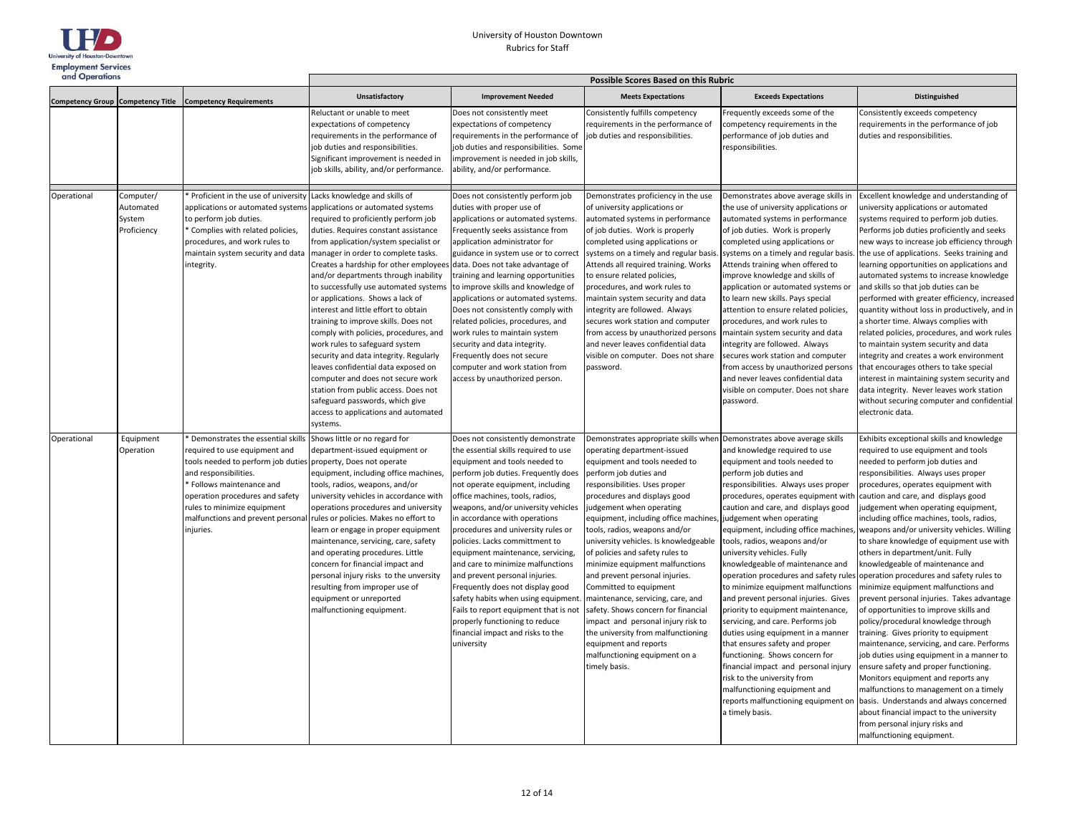

| and Operations                    |                                                 |                                                                                                                                                                                                                                                                                 | Possible Scores Based on this Rubric                                                                                                                                                                                                                                                                                                                                                                                                                                                                                                                                                                                                                                                                                                                                                                              |                                                                                                                                                                                                                                                                                                                                                                                                                                                                                                                                                                                                                                                                                               |                                                                                                                                                                                                                                                                                                                                                                                                                                                                                                                                                                                                                                                                                                                     |                                                                                                                                                                                                                                                                                                                                                                                                                                                                                                                                                                                                                                                                                                                                                                                                                                                                                                          |                                                                                                                                                                                                                                                                                                                                                                                                                                                                                                                                                                                                                                                                                                                                                                                                                                                                                                                                                                                                                                                                                                                                        |  |
|-----------------------------------|-------------------------------------------------|---------------------------------------------------------------------------------------------------------------------------------------------------------------------------------------------------------------------------------------------------------------------------------|-------------------------------------------------------------------------------------------------------------------------------------------------------------------------------------------------------------------------------------------------------------------------------------------------------------------------------------------------------------------------------------------------------------------------------------------------------------------------------------------------------------------------------------------------------------------------------------------------------------------------------------------------------------------------------------------------------------------------------------------------------------------------------------------------------------------|-----------------------------------------------------------------------------------------------------------------------------------------------------------------------------------------------------------------------------------------------------------------------------------------------------------------------------------------------------------------------------------------------------------------------------------------------------------------------------------------------------------------------------------------------------------------------------------------------------------------------------------------------------------------------------------------------|---------------------------------------------------------------------------------------------------------------------------------------------------------------------------------------------------------------------------------------------------------------------------------------------------------------------------------------------------------------------------------------------------------------------------------------------------------------------------------------------------------------------------------------------------------------------------------------------------------------------------------------------------------------------------------------------------------------------|----------------------------------------------------------------------------------------------------------------------------------------------------------------------------------------------------------------------------------------------------------------------------------------------------------------------------------------------------------------------------------------------------------------------------------------------------------------------------------------------------------------------------------------------------------------------------------------------------------------------------------------------------------------------------------------------------------------------------------------------------------------------------------------------------------------------------------------------------------------------------------------------------------|----------------------------------------------------------------------------------------------------------------------------------------------------------------------------------------------------------------------------------------------------------------------------------------------------------------------------------------------------------------------------------------------------------------------------------------------------------------------------------------------------------------------------------------------------------------------------------------------------------------------------------------------------------------------------------------------------------------------------------------------------------------------------------------------------------------------------------------------------------------------------------------------------------------------------------------------------------------------------------------------------------------------------------------------------------------------------------------------------------------------------------------|--|
| Competency Group Competency Title |                                                 | <b>Competency Requirements</b>                                                                                                                                                                                                                                                  | Unsatisfactory                                                                                                                                                                                                                                                                                                                                                                                                                                                                                                                                                                                                                                                                                                                                                                                                    | <b>Improvement Needed</b>                                                                                                                                                                                                                                                                                                                                                                                                                                                                                                                                                                                                                                                                     | <b>Meets Expectations</b>                                                                                                                                                                                                                                                                                                                                                                                                                                                                                                                                                                                                                                                                                           | <b>Exceeds Expectations</b>                                                                                                                                                                                                                                                                                                                                                                                                                                                                                                                                                                                                                                                                                                                                                                                                                                                                              | Distinguished                                                                                                                                                                                                                                                                                                                                                                                                                                                                                                                                                                                                                                                                                                                                                                                                                                                                                                                                                                                                                                                                                                                          |  |
|                                   |                                                 |                                                                                                                                                                                                                                                                                 | Reluctant or unable to meet<br>expectations of competency<br>requirements in the performance of<br>job duties and responsibilities.<br>Significant improvement is needed in<br>job skills, ability, and/or performance.                                                                                                                                                                                                                                                                                                                                                                                                                                                                                                                                                                                           | Does not consistently meet<br>expectations of competency<br>requirements in the performance of<br>job duties and responsibilities. Some<br>improvement is needed in job skills,<br>ability, and/or performance.                                                                                                                                                                                                                                                                                                                                                                                                                                                                               | Consistently fulfills competency<br>requirements in the performance of<br>job duties and responsibilities.                                                                                                                                                                                                                                                                                                                                                                                                                                                                                                                                                                                                          | Frequently exceeds some of the<br>competency requirements in the<br>performance of job duties and<br>responsibilities.                                                                                                                                                                                                                                                                                                                                                                                                                                                                                                                                                                                                                                                                                                                                                                                   | Consistently exceeds competency<br>requirements in the performance of job<br>duties and responsibilities.                                                                                                                                                                                                                                                                                                                                                                                                                                                                                                                                                                                                                                                                                                                                                                                                                                                                                                                                                                                                                              |  |
| Operational                       | Computer/<br>Automated<br>System<br>Proficiency | Proficient in the use of university<br>applications or automated systems<br>to perform job duties.<br>Complies with related policies,<br>procedures, and work rules to<br>maintain system security and data<br>integrity.                                                       | Lacks knowledge and skills of<br>applications or automated systems<br>required to proficiently perform job<br>duties. Requires constant assistance<br>from application/system specialist or<br>manager in order to complete tasks.<br>Creates a hardship for other employees<br>and/or departments through inability<br>to successfully use automated systems<br>or applications. Shows a lack of<br>interest and little effort to obtain<br>training to improve skills. Does not<br>comply with policies, procedures, and<br>work rules to safeguard system<br>security and data integrity. Regularly<br>leaves confidential data exposed on<br>computer and does not secure work<br>station from public access. Does not<br>safeguard passwords, which give<br>access to applications and automated<br>systems. | Does not consistently perform job<br>duties with proper use of<br>applications or automated systems.<br>Frequently seeks assistance from<br>application administrator for<br>guidance in system use or to correct<br>data. Does not take advantage of<br>training and learning opportunities<br>to improve skills and knowledge of<br>applications or automated systems.<br>Does not consistently comply with<br>related policies, procedures, and<br>work rules to maintain system<br>security and data integrity.<br>Frequently does not secure<br>computer and work station from<br>access by unauthorized person.                                                                         | Demonstrates proficiency in the use<br>of university applications or<br>automated systems in performance<br>of job duties. Work is properly<br>completed using applications or<br>systems on a timely and regular basis<br>Attends all required training. Works<br>to ensure related policies,<br>procedures, and work rules to<br>maintain system security and data<br>integrity are followed. Always<br>secures work station and computer<br>from access by unauthorized persons<br>and never leaves confidential data<br>visible on computer. Does not share<br>password.                                                                                                                                        | Demonstrates above average skills in<br>the use of university applications or<br>automated systems in performance<br>of job duties. Work is properly<br>completed using applications or<br>systems on a timely and regular basis<br>Attends training when offered to<br>improve knowledge and skills of<br>application or automated systems or<br>to learn new skills. Pays special<br>attention to ensure related policies,<br>procedures, and work rules to<br>maintain system security and data<br>integrity are followed. Always<br>secures work station and computer<br>from access by unauthorized persons<br>and never leaves confidential data<br>visible on computer. Does not share<br>password.                                                                                                                                                                                               | Excellent knowledge and understanding of<br>university applications or automated<br>systems required to perform job duties.<br>Performs job duties proficiently and seeks<br>new ways to increase job efficiency through<br>the use of applications. Seeks training and<br>learning opportunities on applications and<br>automated systems to increase knowledge<br>and skills so that job duties can be<br>performed with greater efficiency, increased<br>quantity without loss in productively, and in<br>a shorter time. Always complies with<br>related policies, procedures, and work rules<br>to maintain system security and data<br>integrity and creates a work environment<br>that encourages others to take special<br>interest in maintaining system security and<br>data integrity. Never leaves work station<br>without securing computer and confidential<br>electronic data.                                                                                                                                                                                                                                          |  |
| Operational                       | Equipment<br>Operation                          | Demonstrates the essential skills<br>required to use equipment and<br>tools needed to perform job duties<br>and responsibilities.<br>Follows maintenance and<br>operation procedures and safety<br>rules to minimize equipment<br>malfunctions and prevent persona<br>injuries. | Shows little or no regard for<br>department-issued equipment or<br>property, Does not operate<br>equipment, including office machines,<br>tools, radios, weapons, and/or<br>university vehicles in accordance with<br>operations procedures and university<br>rules or policies. Makes no effort to<br>learn or engage in proper equipment<br>maintenance, servicing, care, safety<br>and operating procedures. Little<br>concern for financial impact and<br>personal injury risks to the unversity<br>resulting from improper use of<br>equipment or unreported<br>malfunctioning equipment.                                                                                                                                                                                                                    | Does not consistently demonstrate<br>the essential skills required to use<br>equipment and tools needed to<br>perform job duties. Frequently does<br>not operate equipment, including<br>office machines, tools, radios,<br>weapons, and/or university vehicles<br>in accordance with operations<br>procedures and university rules or<br>policies. Lacks committment to<br>equipment maintenance, servicing,<br>and care to minimize malfunctions<br>and prevent personal injuries.<br>Frequently does not display good<br>safety habits when using equipment.<br>Fails to report equipment that is not<br>properly functioning to reduce<br>financial impact and risks to the<br>university | Demonstrates appropriate skills when<br>operating department-issued<br>equipment and tools needed to<br>perform job duties and<br>responsibilities. Uses proper<br>procedures and displays good<br>judgement when operating<br>equipment, including office machines,<br>tools, radios, weapons and/or<br>university vehicles. Is knowledgeable<br>of policies and safety rules to<br>minimize equipment malfunctions<br>and prevent personal injuries.<br>Committed to equipment<br>maintenance, servicing, care, and<br>safety. Shows concern for financial<br>impact and personal injury risk to<br>the university from malfunctioning<br>equipment and reports<br>malfunctioning equipment on a<br>timely basis. | Demonstrates above average skills<br>and knowledge required to use<br>equipment and tools needed to<br>perform job duties and<br>responsibilities. Always uses proper<br>procedures, operates equipment with<br>caution and care, and displays good<br>judgement when operating<br>equipment, including office machines,<br>tools, radios, weapons and/or<br>university vehicles. Fully<br>knowledgeable of maintenance and<br>operation procedures and safety rules<br>to minimize equipment malfunctions<br>and prevent personal injuries. Gives<br>priority to equipment maintenance,<br>servicing, and care. Performs job<br>duties using equipment in a manner<br>that ensures safety and proper<br>functioning. Shows concern for<br>financial impact and personal injury<br>risk to the university from<br>malfunctioning equipment and<br>reports malfunctioning equipment on<br>a timely basis. | Exhibits exceptional skills and knowledge<br>required to use equipment and tools<br>needed to perform job duties and<br>responsibilities. Always uses proper<br>procedures, operates equipment with<br>caution and care, and displays good<br>judgement when operating equipment,<br>including office machines, tools, radios,<br>weapons and/or university vehicles. Willing<br>to share knowledge of equipment use with<br>others in department/unit. Fully<br>knowledgeable of maintenance and<br>operation procedures and safety rules to<br>minimize equipment malfunctions and<br>prevent personal injuries. Takes advantage<br>of opportunities to improve skills and<br>policy/procedural knowledge through<br>training. Gives priority to equipment<br>maintenance, servicing, and care. Performs<br>job duties using equipment in a manner to<br>ensure safety and proper functioning.<br>Monitors equipment and reports any<br>malfunctions to management on a timely<br>basis. Understands and always concerned<br>about financial impact to the university<br>from personal injury risks and<br>malfunctioning equipment. |  |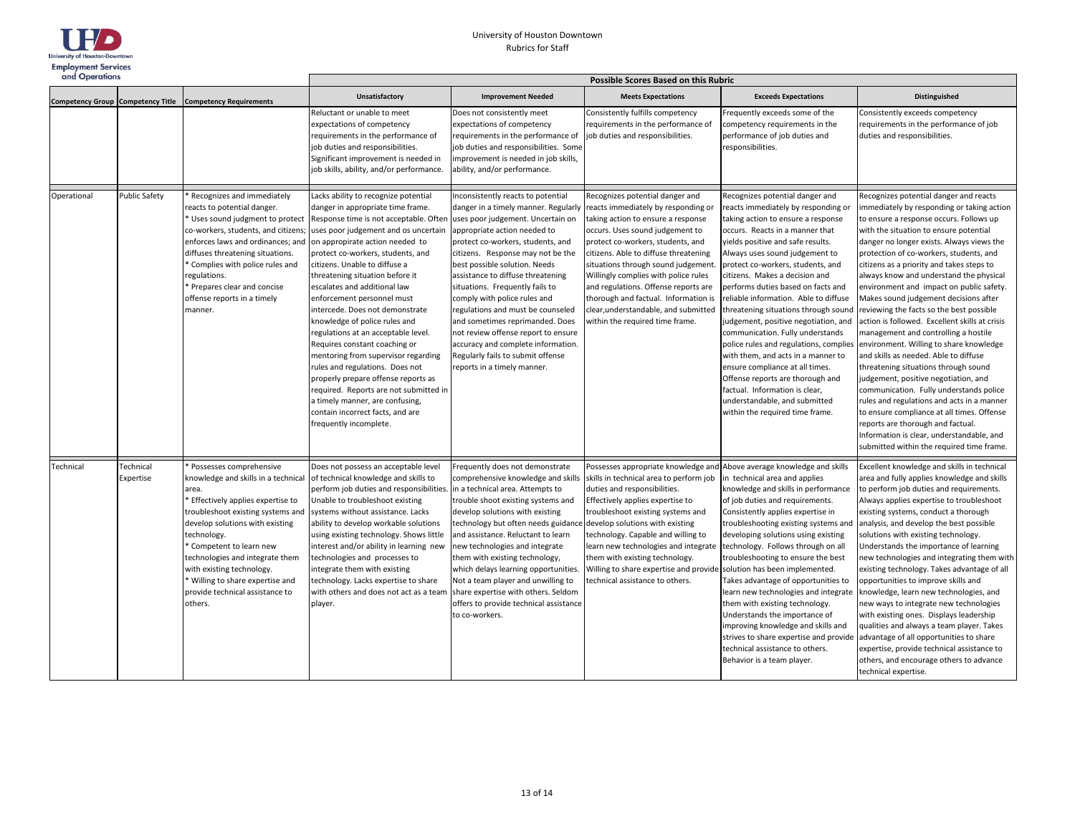

| and Operations |                        |                                                                                                                                                                                                                                                                                                                                                                              | Possible Scores Based on this Rubric                                                                                                                                                                                                                                                                                                                                                                                                                                                                                                                                                                                                                                                                                                                                          |                                                                                                                                                                                                                                                                                                                                                                                                                                                                                                                                                                                            |                                                                                                                                                                                                                                                                                                                                                                                                                                                                        |                                                                                                                                                                                                                                                                                                                                                                                                                                                                                                                                                                                                                                                                                                                                                               |                                                                                                                                                                                                                                                                                                                                                                                                                                                                                                                                                                                                                                                                                                                                                                                                                                                                                                                                                                                                                                |  |  |
|----------------|------------------------|------------------------------------------------------------------------------------------------------------------------------------------------------------------------------------------------------------------------------------------------------------------------------------------------------------------------------------------------------------------------------|-------------------------------------------------------------------------------------------------------------------------------------------------------------------------------------------------------------------------------------------------------------------------------------------------------------------------------------------------------------------------------------------------------------------------------------------------------------------------------------------------------------------------------------------------------------------------------------------------------------------------------------------------------------------------------------------------------------------------------------------------------------------------------|--------------------------------------------------------------------------------------------------------------------------------------------------------------------------------------------------------------------------------------------------------------------------------------------------------------------------------------------------------------------------------------------------------------------------------------------------------------------------------------------------------------------------------------------------------------------------------------------|------------------------------------------------------------------------------------------------------------------------------------------------------------------------------------------------------------------------------------------------------------------------------------------------------------------------------------------------------------------------------------------------------------------------------------------------------------------------|---------------------------------------------------------------------------------------------------------------------------------------------------------------------------------------------------------------------------------------------------------------------------------------------------------------------------------------------------------------------------------------------------------------------------------------------------------------------------------------------------------------------------------------------------------------------------------------------------------------------------------------------------------------------------------------------------------------------------------------------------------------|--------------------------------------------------------------------------------------------------------------------------------------------------------------------------------------------------------------------------------------------------------------------------------------------------------------------------------------------------------------------------------------------------------------------------------------------------------------------------------------------------------------------------------------------------------------------------------------------------------------------------------------------------------------------------------------------------------------------------------------------------------------------------------------------------------------------------------------------------------------------------------------------------------------------------------------------------------------------------------------------------------------------------------|--|--|
|                |                        | Competency Group Competency Title Competency Requirements                                                                                                                                                                                                                                                                                                                    | Unsatisfactory                                                                                                                                                                                                                                                                                                                                                                                                                                                                                                                                                                                                                                                                                                                                                                | <b>Improvement Needed</b>                                                                                                                                                                                                                                                                                                                                                                                                                                                                                                                                                                  | <b>Meets Expectations</b>                                                                                                                                                                                                                                                                                                                                                                                                                                              | <b>Exceeds Expectations</b>                                                                                                                                                                                                                                                                                                                                                                                                                                                                                                                                                                                                                                                                                                                                   | Distinguished                                                                                                                                                                                                                                                                                                                                                                                                                                                                                                                                                                                                                                                                                                                                                                                                                                                                                                                                                                                                                  |  |  |
|                |                        |                                                                                                                                                                                                                                                                                                                                                                              | Reluctant or unable to meet<br>expectations of competency<br>requirements in the performance of<br>job duties and responsibilities.<br>Significant improvement is needed in<br>job skills, ability, and/or performance.                                                                                                                                                                                                                                                                                                                                                                                                                                                                                                                                                       | Does not consistently meet<br>expectations of competency<br>requirements in the performance of<br>job duties and responsibilities. Some<br>improvement is needed in job skills,<br>ability, and/or performance.                                                                                                                                                                                                                                                                                                                                                                            | Consistently fulfills competency<br>equirements in the performance of<br>ob duties and responsibilities.                                                                                                                                                                                                                                                                                                                                                               | Frequently exceeds some of the<br>competency requirements in the<br>performance of job duties and<br>responsibilities.                                                                                                                                                                                                                                                                                                                                                                                                                                                                                                                                                                                                                                        | Consistently exceeds competency<br>requirements in the performance of job<br>duties and responsibilities.                                                                                                                                                                                                                                                                                                                                                                                                                                                                                                                                                                                                                                                                                                                                                                                                                                                                                                                      |  |  |
| Operational    | <b>Public Safety</b>   | Recognizes and immediately<br>reacts to potential danger.<br>Uses sound judgment to protect<br>co-workers, students, and citizens;<br>enforces laws and ordinances; and<br>diffuses threatening situations.<br>Complies with police rules and<br>egulations.<br>Prepares clear and concise<br>offense reports in a timely<br>manner.                                         | Lacks ability to recognize potential<br>danger in appropriate time frame.<br>Response time is not acceptable. Often<br>uses poor judgement and os uncertain<br>on appropirate action needed to<br>protect co-workers, students, and<br>citizens. Unable to diffuse a<br>threatening situation before it<br>escalates and additional law<br>enforcement personnel must<br>intercede. Does not demonstrate<br>knowledge of police rules and<br>regulations at an acceptable level.<br>Requires constant coaching or<br>mentoring from supervisor regarding<br>rules and regulations. Does not<br>properly prepare offense reports as<br>required. Reports are not submitted in<br>a timely manner, are confusing,<br>contain incorrect facts, and are<br>frequently incomplete. | nconsistently reacts to potential<br>danger in a timely manner. Regularly<br>uses poor judgement. Uncertain on<br>appropriate action needed to<br>protect co-workers, students, and<br>citizens. Response may not be the<br>best possible solution. Needs<br>assistance to diffuse threatening<br>situations. Frequently fails to<br>comply with police rules and<br>regulations and must be counseled<br>and sometimes reprimanded. Does<br>not review offense report to ensure<br>accuracy and complete information.<br>Regularly fails to submit offense<br>reports in a timely manner. | Recognizes potential danger and<br>reacts immediately by responding or<br>taking action to ensure a response<br>occurs. Uses sound judgement to<br>protect co-workers, students, and<br>citizens. Able to diffuse threatening<br>situations through sound judgement<br>Willingly complies with police rules<br>and regulations. Offense reports are<br>thorough and factual. Information is<br>clear, understandable, and submitted<br>within the required time frame. | Recognizes potential danger and<br>reacts immediately by responding or<br>taking action to ensure a response<br>occurs. Reacts in a manner that<br>yields positive and safe results.<br>Always uses sound judgement to<br>protect co-workers, students, and<br>citizens. Makes a decision and<br>performs duties based on facts and<br>reliable information. Able to diffuse<br>threatening situations through sound<br>judgement, positive negotiation, and<br>communication. Fully understands<br>police rules and regulations, complies<br>with them, and acts in a manner to<br>ensure compliance at all times.<br>Offense reports are thorough and<br>factual. Information is clear,<br>understandable, and submitted<br>within the required time frame. | Recognizes potential danger and reacts<br>immediately by responding or taking action<br>to ensure a response occurs. Follows up<br>with the situation to ensure potential<br>danger no longer exists. Always views the<br>protection of co-workers, students, and<br>citizens as a priority and takes steps to<br>always know and understand the physical<br>environment and impact on public safety.<br>Makes sound judgement decisions after<br>reviewing the facts so the best possible<br>action is followed. Excellent skills at crisis<br>management and controlling a hostile<br>environment. Willing to share knowledge<br>and skills as needed. Able to diffuse<br>threatening situations through sound<br>judgement, positive negotiation, and<br>communication. Fully understands police<br>rules and regulations and acts in a manner<br>to ensure compliance at all times. Offense<br>reports are thorough and factual.<br>Information is clear, understandable, and<br>submitted within the required time frame. |  |  |
| Technical      | Technical<br>Expertise | Possesses comprehensive<br>knowledge and skills in a technical<br>area.<br>Effectively applies expertise to<br>troubleshoot existing systems and<br>develop solutions with existing<br>technology.<br>Competent to learn new<br>technologies and integrate them<br>with existing technology.<br>Willing to share expertise and<br>provide technical assistance to<br>others. | Does not possess an acceptable level<br>of technical knowledge and skills to<br>perform job duties and responsibilities. in a technical area. Attempts to<br>Unable to troubleshoot existing<br>systems without assistance. Lacks<br>ability to develop workable solutions<br>using existing technology. Shows little<br>interest and/or ability in learning new<br>technologies and processes to<br>integrate them with existing<br>technology. Lacks expertise to share<br>with others and does not act as a team<br>player.                                                                                                                                                                                                                                                | Frequently does not demonstrate<br>comprehensive knowledge and skills<br>trouble shoot existing systems and<br>develop solutions with existing<br>technology but often needs guidance develop solutions with existing<br>and assistance. Reluctant to learn<br>new technologies and integrate<br>them with existing technology,<br>which delays learning opportunities.<br>Not a team player and unwilling to<br>share expertise with others. Seldom<br>offers to provide technical assistance<br>to co-workers.                                                                           | Possesses appropriate knowledge and<br>skills in technical area to perform job<br>duties and responsibilities.<br>Effectively applies expertise to<br>troubleshoot existing systems and<br>technology. Capable and willing to<br>learn new technologies and integrate<br>them with existing technology.<br>Willing to share expertise and provide<br>echnical assistance to others.                                                                                    | Above average knowledge and skills<br>in technical area and applies<br>knowledge and skills in performance<br>of job duties and requirements.<br>Consistently applies expertise in<br>troubleshooting existing systems and<br>developing solutions using existing<br>technology. Follows through on all<br>troubleshooting to ensure the best<br>solution has been implemented.<br>Takes advantage of opportunities to<br>learn new technologies and integrate<br>them with existing technology.<br>Understands the importance of<br>improving knowledge and skills and<br>strives to share expertise and provide<br>technical assistance to others.<br>Behavior is a team player.                                                                            | Excellent knowledge and skills in technical<br>area and fully applies knowledge and skills<br>to perform job duties and requirements.<br>Always applies expertise to troubleshoot<br>existing systems, conduct a thorough<br>analysis, and develop the best possible<br>solutions with existing technology.<br>Understands the importance of learning<br>new technologies and integrating them with<br>existing technology. Takes advantage of all<br>opportunities to improve skills and<br>knowledge, learn new technologies, and<br>new ways to integrate new technologies<br>with existing ones. Displays leadership<br>qualities and always a team player. Takes<br>advantage of all opportunities to share<br>expertise, provide technical assistance to<br>others, and encourage others to advance<br>technical expertise.                                                                                                                                                                                              |  |  |